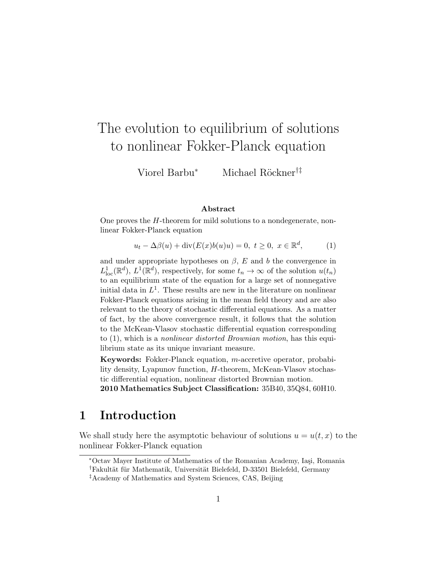# The evolution to equilibrium of solutions to nonlinear Fokker-Planck equation

Viorel Barbu<sup>∗</sup> Michael Röckner<sup>†‡</sup>

#### Abstract

One proves the H-theorem for mild solutions to a nondegenerate, nonlinear Fokker-Planck equation

$$
u_t - \Delta\beta(u) + \operatorname{div}(E(x)b(u)u) = 0, \ t \ge 0, \ x \in \mathbb{R}^d,
$$
 (1)

and under appropriate hypotheses on  $\beta$ , E and b the convergence in  $L^1_{loc}(\mathbb{R}^d)$ ,  $L^1(\mathbb{R}^d)$ , respectively, for some  $t_n \to \infty$  of the solution  $u(t_n)$ to an equilibrium state of the equation for a large set of nonnegative initial data in  $L^1$ . These results are new in the literature on nonlinear Fokker-Planck equations arising in the mean field theory and are also relevant to the theory of stochastic differential equations. As a matter of fact, by the above convergence result, it follows that the solution to the McKean-Vlasov stochastic differential equation corresponding to  $(1)$ , which is a *nonlinear distorted Brownian motion*, has this equilibrium state as its unique invariant measure.

Keywords: Fokker-Planck equation, m-accretive operator, probability density, Lyapunov function, H-theorem, McKean-Vlasov stochastic differential equation, nonlinear distorted Brownian motion.

2010 Mathematics Subject Classification: 35B40, 35Q84, 60H10.

### 1 Introduction

We shall study here the asymptotic behaviour of solutions  $u = u(t, x)$  to the nonlinear Fokker-Planck equation

<sup>\*</sup>Octav Mayer Institute of Mathematics of the Romanian Academy, Iași, Romania

<sup>&</sup>lt;sup>†</sup>Fakultät für Mathematik, Universität Bielefeld, D-33501 Bielefeld, Germany

<sup>‡</sup>Academy of Mathematics and System Sciences, CAS, Beijing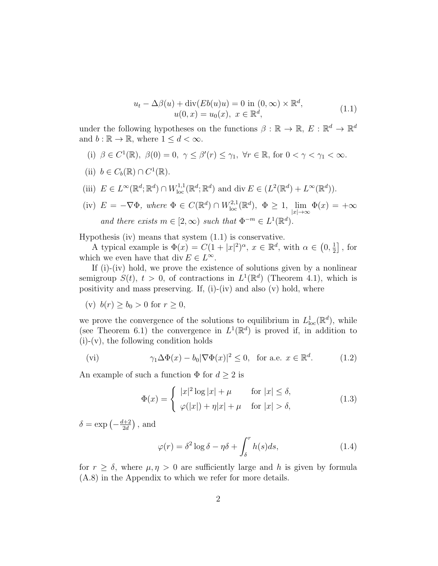$$
u_t - \Delta\beta(u) + \text{div}(Eb(u)u) = 0 \text{ in } (0, \infty) \times \mathbb{R}^d,
$$
  

$$
u(0, x) = u_0(x), \ x \in \mathbb{R}^d,
$$
 (1.1)

under the following hypotheses on the functions  $\beta : \mathbb{R} \to \mathbb{R}, E : \mathbb{R}^d \to \mathbb{R}^d$ and  $b : \mathbb{R} \to \mathbb{R}$ , where  $1 \leq d < \infty$ .

- (i)  $\beta \in C^1(\mathbb{R}), \ \beta(0) = 0, \ \gamma \leq \beta'(r) \leq \gamma_1, \ \forall r \in \mathbb{R}, \text{ for } 0 < \gamma < \gamma_1 < \infty.$
- (ii)  $b \in C_b(\mathbb{R}) \cap C^1(\mathbb{R})$ .
- (iii)  $E \in L^{\infty}(\mathbb{R}^d; \mathbb{R}^d) \cap W^{1,1}_{loc}(\mathbb{R}^d; \mathbb{R}^d)$  and div  $E \in (L^2(\mathbb{R}^d) + L^{\infty}(\mathbb{R}^d))$ .
- (iv)  $E = -\nabla \Phi$ , where  $\Phi \in C(\mathbb{R}^d) \cap W^{2,1}_{loc}(\mathbb{R}^d)$ ,  $\Phi \geq 1$ ,  $\lim_{|x| \to \infty} \Phi(x) = +\infty$ and there exists  $m \in [2, \infty)$  such that  $\Phi^{-m} \in L^1(\mathbb{R}^d)$ .

Hypothesis (iv) means that system (1.1) is conservative.

A typical example is  $\Phi(x) = C(1+|x|^2)^\alpha$ ,  $x \in \mathbb{R}^d$ , with  $\alpha \in (0, \frac{1}{2})$  $\frac{1}{2}$ , for which we even have that div  $E \in L^{\infty}$ .

If (i)-(iv) hold, we prove the existence of solutions given by a nonlinear semigroup  $S(t)$ ,  $t > 0$ , of contractions in  $L^1(\mathbb{R}^d)$  (Theorem 4.1), which is positivity and mass preserving. If,  $(i)$ - $(iv)$  and also  $(v)$  hold, where

(v) 
$$
b(r) \ge b_0 > 0
$$
 for  $r \ge 0$ ,

we prove the convergence of the solutions to equilibrium in  $L^1_{loc}(\mathbb{R}^d)$ , while (see Theorem 6.1) the convergence in  $L^1(\mathbb{R}^d)$  is proved if, in addition to  $(i)-(v)$ , the following condition holds

(vi) 
$$
\gamma_1 \Delta \Phi(x) - b_0 |\nabla \Phi(x)|^2 \le 0
$$
, for a.e.  $x \in \mathbb{R}^d$ . (1.2)

An example of such a function  $\Phi$  for  $d \geq 2$  is

$$
\Phi(x) = \begin{cases} |x|^2 \log |x| + \mu & \text{for } |x| \le \delta, \\ \varphi(|x|) + \eta |x| + \mu & \text{for } |x| > \delta, \end{cases}
$$
(1.3)

 $\delta = \exp \left(-\frac{d+2}{2d}\right)$  $\frac{d+2}{2d}$ , and

$$
\varphi(r) = \delta^2 \log \delta - \eta \delta + \int_{\delta}^{r} h(s) ds,
$$
\n(1.4)

for  $r \geq \delta$ , where  $\mu, \eta > 0$  are sufficiently large and h is given by formula (A.8) in the Appendix to which we refer for more details.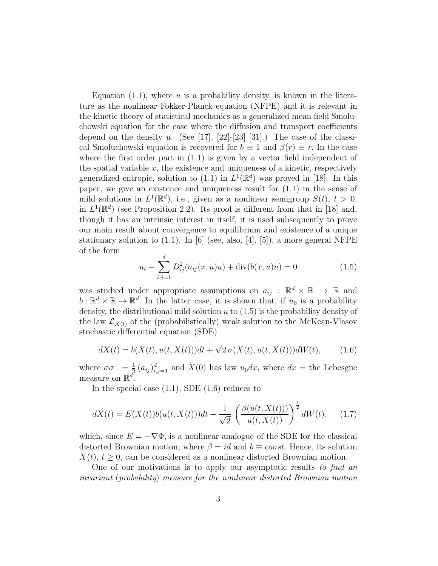Equation (1.1), where u is a probability density, is known in the literature as the nonlinear Fokker-Planck equation (NFPE) and it is relevant in the kinetic theory of statistical mechanics as a generalized mean field Smoluchowski equation for the case where the diffusion and transport coefficients depend on the density u. (See [17], [22]-[23] [31].) The case of the classical Smoluchowski equation is recovered for  $b \equiv 1$  and  $\beta(r) \equiv r$ . In the case where the first order part in  $(1.1)$  is given by a vector field independent of the spatial variable  $x$ , the existence and uniqueness of a kinetic, respectively generalized entropic, solution to (1.1) in  $L^1(\mathbb{R}^d)$  was proved in [18]. In this paper, we give an existence and uniqueness result for (1.1) in the sense of mild solutions in  $L^1(\mathbb{R}^d)$ , i.e., given as a nonlinear semigroup  $S(t)$ ,  $t > 0$ , in  $L^1(\mathbb{R}^d)$  (see Proposition 2.2). Its proof is different from that in [18] and, though it has an intrinsic interest in itself, it is used subsequently to prove our main result about convergence to equilibrium and existence of a unique stationary solution to  $(1.1)$ . In [6] (see, also, [4], [5]), a more general NFPE of the form

$$
u_t - \sum_{i,j=1}^d D_{ij}^2(a_{ij}(x, u)u) + \text{div}(b(x, u)u) = 0
$$
\n(1.5)

was studied under appropriate assumptions on  $a_{ij}$ :  $\mathbb{R}^d \times \mathbb{R} \to \mathbb{R}$  and  $b: \mathbb{R}^d \times \mathbb{R} \to \mathbb{R}^d$ . In the latter case, it is shown that, if  $u_0$  is a probability density, the distributional mild solution  $u$  to  $(1.5)$  is the probability density of the law  $\mathcal{L}_{X(t)}$  of the (probabilistically) weak solution to the McKean-Vlasov stochastic differential equation (SDE)

$$
dX(t) = b(X(t), u(t, X(t)))dt + \sqrt{2}\,\sigma(X(t), u(t, X(t)))dW(t), \qquad (1.6)
$$

where  $\sigma\sigma^{\perp}=\frac{1}{2}$  $\frac{1}{2} (a_{ij})_{i,j=1}^d$  and  $X(0)$  has law  $u_0 dx$ , where  $dx =$  the Lebesgue measure on  $\mathbb{R}^d$ .

In the special case  $(1.1)$ , SDE  $(1.6)$  reduces to

$$
dX(t) = E(X(t))b(u(t, X(t)))dt + \frac{1}{\sqrt{2}} \left( \frac{\beta(u(t, X(t)))}{u(t, X(t))} \right)^{\frac{1}{2}} dW(t), \quad (1.7)
$$

which, since  $E = -\nabla \Phi$ , is a nonlinear analogue of the SDE for the classical distorted Brownian motion, where  $\beta = id$  and  $b \equiv const$ . Hence, its solution  $X(t)$ ,  $t > 0$ , can be considered as a nonlinear distorted Brownian motion.

One of our motivations is to apply our asymptotic results to find an invariant (probability) measure for the nonlinear distorted Brownian motion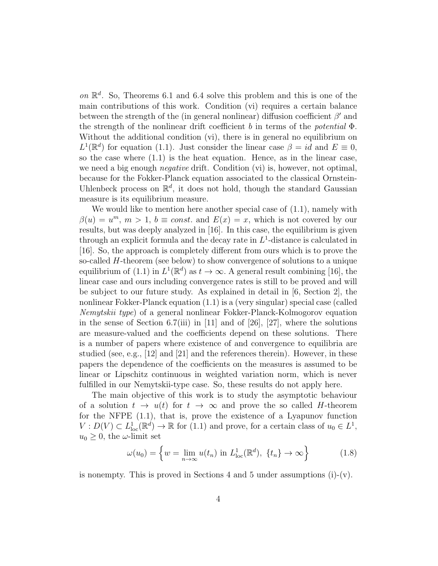on  $\mathbb{R}^d$ . So, Theorems 6.1 and 6.4 solve this problem and this is one of the main contributions of this work. Condition (vi) requires a certain balance between the strength of the (in general nonlinear) diffusion coefficient  $\beta'$  and the strength of the nonlinear drift coefficient b in terms of the potential  $\Phi$ . Without the additional condition (vi), there is in general no equilibrium on  $L^1(\mathbb{R}^d)$  for equation (1.1). Just consider the linear case  $\beta = id$  and  $E \equiv 0$ , so the case where  $(1.1)$  is the heat equation. Hence, as in the linear case, we need a big enough *negative* drift. Condition (vi) is, however, not optimal, because for the Fokker-Planck equation associated to the classical Ornstein-Uhlenbeck process on  $\mathbb{R}^d$ , it does not hold, though the standard Gaussian measure is its equilibrium measure.

We would like to mention here another special case of  $(1.1)$ , namely with  $\beta(u) = u^m$ ,  $m > 1$ ,  $b \equiv const.$  and  $E(x) = x$ , which is not covered by our results, but was deeply analyzed in [16]. In this case, the equilibrium is given through an explicit formula and the decay rate in  $L^1$ -distance is calculated in [16]. So, the approach is completely different from ours which is to prove the so-called H-theorem (see below) to show convergence of solutions to a unique equilibrium of (1.1) in  $L^1(\mathbb{R}^d)$  as  $t \to \infty$ . A general result combining [16], the linear case and ours including convergence rates is still to be proved and will be subject to our future study. As explained in detail in [6, Section 2], the nonlinear Fokker-Planck equation (1.1) is a (very singular) special case (called Nemytskii type) of a general nonlinear Fokker-Planck-Kolmogorov equation in the sense of Section 6.7(iii) in [11] and of [26], [27], where the solutions are measure-valued and the coefficients depend on these solutions. There is a number of papers where existence of and convergence to equilibria are studied (see, e.g.,  $[12]$  and  $[21]$  and the references therein). However, in these papers the dependence of the coefficients on the measures is assumed to be linear or Lipschitz continuous in weighted variation norm, which is never fulfilled in our Nemytskii-type case. So, these results do not apply here.

The main objective of this work is to study the asymptotic behaviour of a solution  $t \to u(t)$  for  $t \to \infty$  and prove the so called H-theorem for the NFPE (1.1), that is, prove the existence of a Lyapunov function  $V: D(V) \subset L^1_{loc}(\mathbb{R}^d) \to \mathbb{R}$  for (1.1) and prove, for a certain class of  $u_0 \in L^1$ ,  $u_0 \geq 0$ , the  $\omega$ -limit set

$$
\omega(u_0) = \left\{ w = \lim_{n \to \infty} u(t_n) \text{ in } L^1_{\text{loc}}(\mathbb{R}^d), \ \{t_n\} \to \infty \right\}
$$
 (1.8)

is nonempty. This is proved in Sections 4 and 5 under assumptions  $(i)-(v)$ .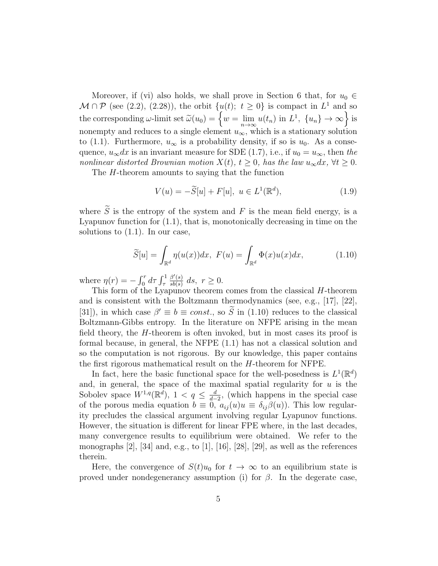Moreover, if (vi) also holds, we shall prove in Section 6 that, for  $u_0 \in$  $\mathcal{M} \cap \mathcal{P}$  (see (2.2), (2.28)), the orbit  $\{u(t); t \geq 0\}$  is compact in  $L^1$  and so the corresponding  $\omega$ -limit set  $\widetilde{\omega}(u_0) = \left\{ w = \lim_{n \to \infty} u(t_n) \text{ in } L^1, \{u_n\} \to \infty \right\}$  is nonempty and reduces to a single element  $u_{\infty}$ , which is a stationary solution to (1.1). Furthermore,  $u_{\infty}$  is a probability density, if so is  $u_0$ . As a consequence,  $u_{\infty}dx$  is an invariant measure for SDE (1.7), i.e., if  $u_0 = u_{\infty}$ , then the nonlinear distorted Brownian motion  $X(t)$ ,  $t \geq 0$ , has the law  $u_{\infty}dx$ ,  $\forall t \geq 0$ .

The H-theorem amounts to saying that the function

$$
V(u) = -\widetilde{S}[u] + F[u], \ u \in L^{1}(\mathbb{R}^{d}), \qquad (1.9)
$$

where  $\widetilde{S}$  is the entropy of the system and F is the mean field energy, is a Lyapunov function for (1.1), that is, monotonically decreasing in time on the solutions to (1.1). In our case,

$$
\widetilde{S}[u] = \int_{\mathbb{R}^d} \eta(u(x))dx, \ F(u) = \int_{\mathbb{R}^d} \Phi(x)u(x)dx,\tag{1.10}
$$

where  $\eta(r) = -\int_0^r d\tau \int_{\tau}^1$  $\beta'(s)$  $\frac{\beta'(s)}{sb(s)} ds, r \geq 0.$ 

This form of the Lyapunov theorem comes from the classical  $H$ -theorem and is consistent with the Boltzmann thermodynamics (see, e.g., [17], [22], [31]), in which case  $\beta' \equiv b \equiv const.$ , so  $\tilde{S}$  in (1.10) reduces to the classical Boltzmann-Gibbs entropy. In the literature on NFPE arising in the mean field theory, the H-theorem is often invoked, but in most cases its proof is formal because, in general, the NFPE (1.1) has not a classical solution and so the computation is not rigorous. By our knowledge, this paper contains the first rigorous mathematical result on the H-theorem for NFPE.

In fact, here the basic functional space for the well-posedness is  $L^1(\mathbb{R}^d)$ and, in general, the space of the maximal spatial regularity for  $u$  is the Sobolev space  $W^{1,q}(\mathbb{R}^d)$ ,  $1 < q \leq \frac{d}{d-1}$  $\frac{d}{d-2}$ , (which happens in the special case of the porous media equation  $b \equiv 0$ ,  $a_{ij}(u)u \equiv \delta_{ij}\beta(u)$ . This low regularity precludes the classical argument involving regular Lyapunov functions. However, the situation is different for linear FPE where, in the last decades, many convergence results to equilibrium were obtained. We refer to the monographs  $[2]$ ,  $[34]$  and, e.g., to  $[1]$ ,  $[16]$ ,  $[28]$ ,  $[29]$ , as well as the references therein.

Here, the convergence of  $S(t)u_0$  for  $t \to \infty$  to an equilibrium state is proved under nondegenerancy assumption (i) for  $\beta$ . In the degerate case,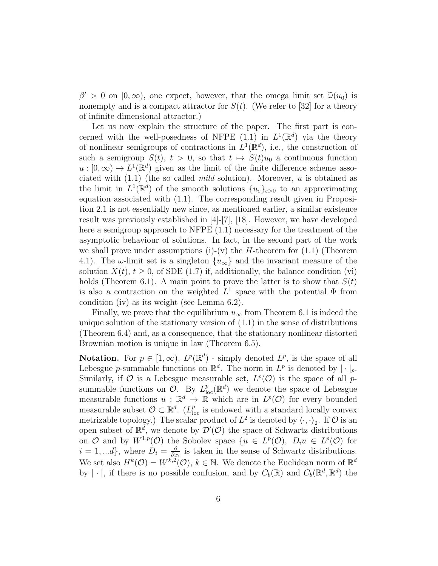$\beta' > 0$  on  $[0, \infty)$ , one expect, however, that the omega limit set  $\tilde{\omega}(u_0)$  is<br>poperative and is a compact attractor for  $S(t)$ . (We refer to [32] for a theory nonempty and is a compact attractor for  $S(t)$ . (We refer to [32] for a theory of infinite dimensional attractor.)

Let us now explain the structure of the paper. The first part is concerned with the well-posedness of NFPE  $(1.1)$  in  $L^1(\mathbb{R}^d)$  via the theory of nonlinear semigroups of contractions in  $L^1(\mathbb{R}^d)$ , i.e., the construction of such a semigroup  $S(t)$ ,  $t > 0$ , so that  $t \mapsto S(t)u_0$  a continuous function  $u: [0, \infty) \to L^1(\mathbb{R}^d)$  given as the limit of the finite difference scheme associated with  $(1.1)$  (the so called *mild* solution). Moreover, u is obtained as the limit in  $L^1(\mathbb{R}^d)$  of the smooth solutions  $\{u_{\varepsilon}\}_{{\varepsilon}>0}$  to an approximating equation associated with (1.1). The corresponding result given in Proposition 2.1 is not essentially new since, as mentioned earlier, a similar existence result was previously established in [4]-[7], [18]. However, we have developed here a semigroup approach to NFPE  $(1.1)$  necessary for the treatment of the asymptotic behaviour of solutions. In fact, in the second part of the work we shall prove under assumptions (i)-(v) the *H*-theorem for  $(1.1)$  (Theorem 4.1). The  $\omega$ -limit set is a singleton  $\{u_{\infty}\}\$ and the invariant measure of the solution  $X(t)$ ,  $t \geq 0$ , of SDE (1.7) if, additionally, the balance condition (vi) holds (Theorem 6.1). A main point to prove the latter is to show that  $S(t)$ is also a contraction on the weighted  $L^1$  space with the potential  $\Phi$  from condition (iv) as its weight (see Lemma 6.2).

Finally, we prove that the equilibrium  $u_{\infty}$  from Theorem 6.1 is indeed the unique solution of the stationary version of  $(1.1)$  in the sense of distributions (Theorem 6.4) and, as a consequence, that the stationary nonlinear distorted Brownian motion is unique in law (Theorem 6.5).

**Notation.** For  $p \in [1, \infty)$ ,  $L^p(\mathbb{R}^d)$  - simply denoted  $L^p$ , is the space of all Lebesgue *p*-summable functions on  $\mathbb{R}^d$ . The norm in  $L^p$  is denoted by  $|\cdot|_p$ . Similarly, if O is a Lebesgue measurable set,  $L^p(\mathcal{O})$  is the space of all psummable functions on  $\mathcal{O}$ . By  $L^p_{loc}(\mathbb{R}^d)$  we denote the space of Lebesgue measurable functions  $u : \mathbb{R}^d \to \mathbb{R}$  which are in  $L^p(\mathcal{O})$  for every bounded measurable subset  $\mathcal{O} \subset \mathbb{R}^d$ . ( $L^p_{\text{loc}}$  is endowed with a standard locally convex metrizable topology.) The scalar product of  $L^2$  is denoted by  $\langle \cdot, \cdot \rangle_2$ . If  $\mathcal O$  is an open subset of  $\mathbb{R}^d$ , we denote by  $\mathcal{D}'(\mathcal{O})$  the space of Schwartz distributions on O and by  $W^{1,p}(\mathcal{O})$  the Sobolev space  $\{u \in L^p(\mathcal{O}), D_i u \in L^p(\mathcal{O})\}$  for  $i = 1, ...d$ , where  $D_i = \frac{\partial}{\partial x_i}$  $\frac{\partial}{\partial x_i}$  is taken in the sense of Schwartz distributions. We set also  $H^k(\mathcal{O}) = W^{k,2}(\mathcal{O}), k \in \mathbb{N}$ . We denote the Euclidean norm of  $\mathbb{R}^d$ by  $|\cdot|$ , if there is no possible confusion, and by  $C_b(\mathbb{R})$  and  $C_b(\mathbb{R}^d, \mathbb{R}^d)$  the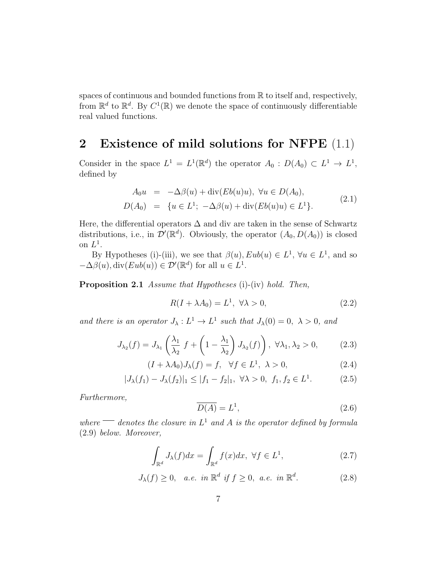spaces of continuous and bounded functions from  $\mathbb R$  to itself and, respectively, from  $\mathbb{R}^d$  to  $\mathbb{R}^d$ . By  $C^1(\mathbb{R})$  we denote the space of continuously differentiable real valued functions.

#### 2 Existence of mild solutions for NFPE (1.1)

Consider in the space  $L^1 = L^1(\mathbb{R}^d)$  the operator  $A_0 : D(A_0) \subset L^1 \to L^1$ , defined by

$$
A_0 u = -\Delta \beta(u) + \text{div}(Eb(u)u), \ \forall u \in D(A_0), D(A_0) = \{u \in L^1; -\Delta \beta(u) + \text{div}(Eb(u)u) \in L^1\}.
$$
 (2.1)

Here, the differential operators  $\Delta$  and div are taken in the sense of Schwartz distributions, i.e., in  $\mathcal{D}'(\mathbb{R}^d)$ . Obviously, the operator  $(A_0, D(A_0))$  is closed on  $L^1$ .

By Hypotheses (i)-(iii), we see that  $\beta(u)$ ,  $Eub(u) \in L^1$ ,  $\forall u \in L^1$ , and so  $-\Delta\beta(u), \text{div}(Eub(u)) \in \mathcal{D}'(\mathbb{R}^d)$  for all  $u \in L^1$ .

Proposition 2.1 Assume that Hypotheses (i)-(iv) hold. Then,

$$
R(I + \lambda A_0) = L^1, \ \forall \lambda > 0,
$$
\n
$$
(2.2)
$$

and there is an operator  $J_{\lambda}: L^{1} \to L^{1}$  such that  $J_{\lambda}(0) = 0, \lambda > 0$ , and

$$
J_{\lambda_2}(f) = J_{\lambda_1} \left(\frac{\lambda_1}{\lambda_2} f + \left(1 - \frac{\lambda_1}{\lambda_2}\right) J_{\lambda_2}(f)\right), \ \forall \lambda_1, \lambda_2 > 0,
$$
 (2.3)

$$
(I + \lambda A_0)J_{\lambda}(f) = f, \quad \forall f \in L^1, \ \lambda > 0,
$$
\n
$$
(2.4)
$$

$$
|J_{\lambda}(f_1) - J_{\lambda}(f_2)|_1 \le |f_1 - f_2|_1, \ \forall \lambda > 0, \ f_1, f_2 \in L^1.
$$
 (2.5)

Furthermore,

$$
\overline{D(A)} = L^1,\tag{2.6}
$$

where  $\equiv$  denotes the closure in  $L^1$  and A is the operator defined by formula (2.9) below. Moreover,

$$
\int_{\mathbb{R}^d} J_\lambda(f) dx = \int_{\mathbb{R}^d} f(x) dx, \ \forall f \in L^1,
$$
\n(2.7)

$$
J_{\lambda}(f) \ge 0, \quad a.e. \in \mathbb{R}^d \text{ if } f \ge 0, \text{ a.e. in } \mathbb{R}^d. \tag{2.8}
$$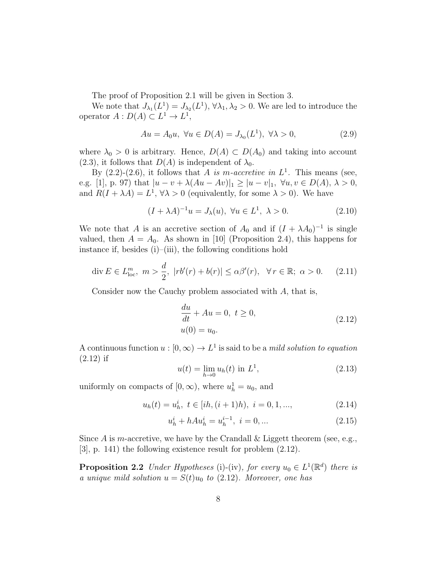The proof of Proposition 2.1 will be given in Section 3.

We note that  $J_{\lambda_1}(L^1) = J_{\lambda_2}(L^1), \forall \lambda_1, \lambda_2 > 0$ . We are led to introduce the operator  $A: D(A) \subset L^1 \to L^1$ ,

$$
Au = A_0 u, \ \forall u \in D(A) = J_{\lambda_0}(L^1), \ \forall \lambda > 0,
$$
\n
$$
(2.9)
$$

where  $\lambda_0 > 0$  is arbitrary. Hence,  $D(A) \subset D(A_0)$  and taking into account  $(2.3)$ , it follows that  $D(A)$  is independent of  $\lambda_0$ .

By  $(2.2)-(2.6)$ , it follows that A is m-accretive in  $L<sup>1</sup>$ . This means (see, e.g. [1], p. 97) that  $|u - v + \lambda(Au - Av)|_1 \geq |u - v|_1$ ,  $\forall u, v \in D(A), \lambda > 0$ , and  $R(I + \lambda A) = L^1$ ,  $\forall \lambda > 0$  (equivalently, for some  $\lambda > 0$ ). We have

$$
(I + \lambda A)^{-1}u = J_{\lambda}(u), \ \forall u \in L^{1}, \ \lambda > 0. \tag{2.10}
$$

We note that A is an accretive section of  $A_0$  and if  $(I + \lambda A_0)^{-1}$  is single valued, then  $A = A_0$ . As shown in [10] (Proposition 2.4), this happens for instance if, besides  $(i)$ – $(iii)$ , the following conditions hold

$$
\operatorname{div} E \in L_{\text{loc}}^m, \ m > \frac{d}{2}, \ |rb'(r) + b(r)| \le \alpha \beta'(r), \ \ \forall \, r \in \mathbb{R}; \ \alpha > 0. \tag{2.11}
$$

Consider now the Cauchy problem associated with A, that is,

$$
\frac{du}{dt} + Au = 0, \ t \ge 0,u(0) = u_0.
$$
\n(2.12)

A continuous function  $u : [0, \infty) \to L^1$  is said to be a *mild solution to equation* (2.12) if

$$
u(t) = \lim_{h \to 0} u_h(t) \text{ in } L^1,
$$
\n(2.13)

uniformly on compacts of  $[0, \infty)$ , where  $u_h^1 = u_0$ , and

$$
u_h(t) = u_h^i, \ t \in [ih, (i+1)h), \ i = 0, 1, ..., \tag{2.14}
$$

$$
u_h^i + hAu_h^i = u_h^{i-1}, \ i = 0, \dots \tag{2.15}
$$

Since A is m-accretive, we have by the Crandall & Liggett theorem (see, e.g., [3], p. 141) the following existence result for problem (2.12).

**Proposition 2.2** Under Hypotheses (i)-(iv), for every  $u_0 \in L^1(\mathbb{R}^d)$  there is a unique mild solution  $u = S(t)u_0$  to (2.12). Moreover, one has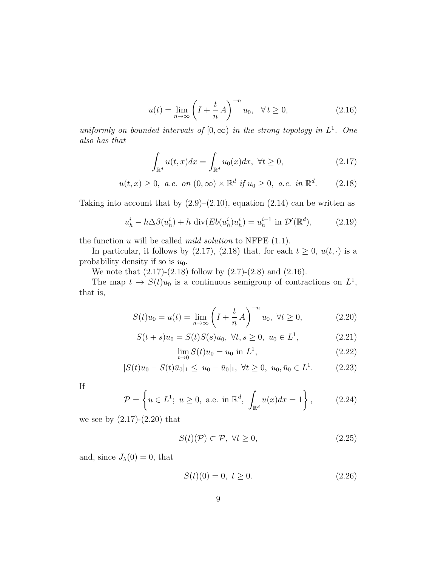$$
u(t) = \lim_{n \to \infty} \left( I + \frac{t}{n} A \right)^{-n} u_0, \quad \forall t \ge 0,
$$
\n(2.16)

uniformly on bounded intervals of  $[0, \infty)$  in the strong topology in  $L^1$ . One also has that

$$
\int_{\mathbb{R}^d} u(t, x) dx = \int_{\mathbb{R}^d} u_0(x) dx, \ \forall t \ge 0,
$$
\n(2.17)

$$
u(t, x) \ge 0
$$
, *a.e.* on  $(0, \infty) \times \mathbb{R}^d$  if  $u_0 \ge 0$ , *a.e.* in  $\mathbb{R}^d$ . (2.18)

Taking into account that by  $(2.9)$ – $(2.10)$ , equation  $(2.14)$  can be written as

$$
u_h^i - h\Delta\beta(u_h^i) + h \operatorname{div}(Eb(u_h^i)u_h^i) = u_h^{i-1} \text{ in } \mathcal{D}'(\mathbb{R}^d),\tag{2.19}
$$

the function  $u$  will be called *mild solution* to NFPE  $(1.1)$ .

In particular, it follows by (2.17), (2.18) that, for each  $t \geq 0$ ,  $u(t, \cdot)$  is a probability density if so is  $u_0$ .

We note that  $(2.17)-(2.18)$  follow by  $(2.7)-(2.8)$  and  $(2.16)$ .

The map  $t \to S(t)u_0$  is a continuous semigroup of contractions on  $L^1$ , that is,

$$
S(t)u_0 = u(t) = \lim_{n \to \infty} \left( I + \frac{t}{n} A \right)^{-n} u_0, \ \forall t \ge 0,
$$
 (2.20)

$$
S(t+s)u_0 = S(t)S(s)u_0, \ \forall t, s \ge 0, \ u_0 \in L^1,
$$
\n(2.21)

$$
\lim_{t \to 0} S(t)u_0 = u_0 \text{ in } L^1,
$$
\n(2.22)

$$
|S(t)u_0 - S(t)\bar{u}_0|_1 \le |u_0 - \bar{u}_0|_1, \ \forall t \ge 0, \ u_0, \bar{u}_0 \in L^1.
$$
 (2.23)

If

$$
\mathcal{P} = \left\{ u \in L^1; \ u \ge 0, \ \text{a.e. in } \mathbb{R}^d, \int_{\mathbb{R}^d} u(x) dx = 1 \right\},\tag{2.24}
$$

we see by  $(2.17)-(2.20)$  that

$$
S(t)(\mathcal{P}) \subset \mathcal{P}, \ \forall t \ge 0,
$$
\n
$$
(2.25)
$$

and, since  $J_{\lambda}(0) = 0$ , that

$$
S(t)(0) = 0, \ t \ge 0. \tag{2.26}
$$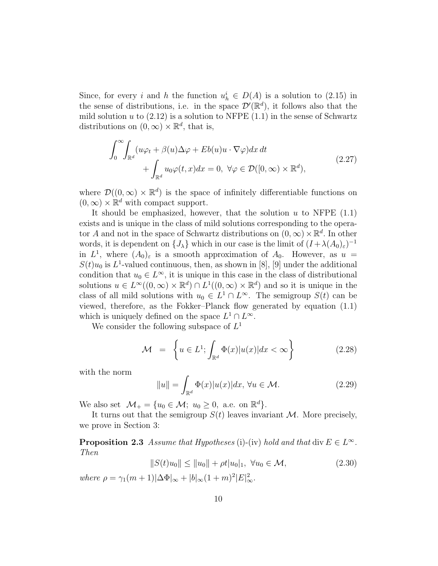Since, for every i and h the function  $u_h^i \in D(A)$  is a solution to (2.15) in the sense of distributions, i.e. in the space  $\mathcal{D}'(\mathbb{R}^d)$ , it follows also that the mild solution u to  $(2.12)$  is a solution to NFPE  $(1.1)$  in the sense of Schwartz distributions on  $(0, \infty) \times \mathbb{R}^d$ , that is,

$$
\int_0^\infty \int_{\mathbb{R}^d} (u\varphi_t + \beta(u)\Delta\varphi + Eb(u)u \cdot \nabla\varphi) dx dt + \int_{\mathbb{R}^d} u_0 \varphi(t, x) dx = 0, \ \forall \varphi \in \mathcal{D}([0, \infty) \times \mathbb{R}^d),
$$
\n(2.27)

where  $\mathcal{D}((0,\infty) \times \mathbb{R}^d)$  is the space of infinitely differentiable functions on  $(0, \infty) \times \mathbb{R}^d$  with compact support.

It should be emphasized, however, that the solution  $u$  to NFPE  $(1.1)$ exists and is unique in the class of mild solutions corresponding to the operator A and not in the space of Schwartz distributions on  $(0, \infty) \times \mathbb{R}^d$ . In other words, it is dependent on  $\{J_\lambda\}$  which in our case is the limit of  $(I + \lambda(A_0)_{\varepsilon})^{-1}$ in  $L^1$ , where  $(A_0)_{\varepsilon}$  is a smooth approximation of  $A_0$ . However, as  $u =$  $S(t)u_0$  is  $L^1$ -valued continuous, then, as shown in [8], [9] under the additional condition that  $u_0 \in L^{\infty}$ , it is unique in this case in the class of distributional solutions  $u \in L^{\infty}((0,\infty) \times \mathbb{R}^d) \cap L^1((0,\infty) \times \mathbb{R}^d)$  and so it is unique in the class of all mild solutions with  $u_0 \in L^1 \cap L^{\infty}$ . The semigroup  $S(t)$  can be viewed, therefore, as the Fokker–Planck flow generated by equation (1.1) which is uniquely defined on the space  $L^1 \cap L^{\infty}$ .

We consider the following subspace of  $L^1$ 

$$
\mathcal{M} = \left\{ u \in L^1; \int_{\mathbb{R}^d} \Phi(x) |u(x)| dx < \infty \right\} \tag{2.28}
$$

with the norm

$$
||u|| = \int_{\mathbb{R}^d} \Phi(x)|u(x)|dx, \,\forall u \in \mathcal{M}.
$$
 (2.29)

We also set  $\mathcal{M}_+ = \{u_0 \in \mathcal{M}; u_0 \geq 0, \text{ a.e. on } \mathbb{R}^d\}.$ 

It turns out that the semigroup  $S(t)$  leaves invariant M. More precisely, we prove in Section 3:

**Proposition 2.3** Assume that Hypotheses (i)-(iv) hold and that div  $E \in L^{\infty}$ . Then

$$
||S(t)u_0|| \le ||u_0|| + \rho t |u_0|_1, \ \forall u_0 \in \mathcal{M}, \tag{2.30}
$$

where  $\rho = \gamma_1(m+1)|\Delta \Phi|_{\infty} + |b|_{\infty}(1+m)^2|E|_{\infty}^2$ .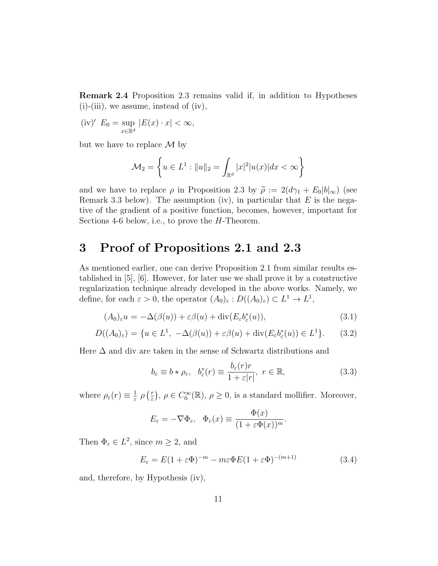Remark 2.4 Proposition 2.3 remains valid if, in addition to Hypotheses  $(i)$ - $(iii)$ , we assume, instead of  $(iv)$ ,

 $(iv)' E_0 = \sup$  $x \in \mathbb{R}^d$  $|E(x) \cdot x| < \infty$ ,

but we have to replace  $\mathcal M$  by

$$
\mathcal{M}_2 = \left\{ u \in L^1 : ||u||_2 = \int_{\mathbb{R}^d} |x|^2 |u(x)| dx < \infty \right\}
$$

and we have to replace  $\rho$  in Proposition 2.3 by  $\tilde{\rho} := 2(d\gamma_1 + E_0|b|_{\infty})$  (see Remark 3.3 below). The assumption (iv), in particular that  $E$  is the negative of the gradient of a positive function, becomes, however, important for Sections 4-6 below, i.e., to prove the H-Theorem.

#### 3 Proof of Propositions 2.1 and 2.3

As mentioned earlier, one can derive Proposition 2.1 from similar results established in [5], [6]. However, for later use we shall prove it by a constructive regularization technique already developed in the above works. Namely, we define, for each  $\varepsilon > 0$ , the operator  $(A_0)_{\varepsilon} : D((A_0)_{\varepsilon}) \subset L^1 \to L^1$ ,

$$
(A_0)_{\varepsilon} u = -\Delta(\beta(u)) + \varepsilon \beta(u) + \text{div}(E_{\varepsilon} b_{\varepsilon}^*(u)),
$$
\n(3.1)

$$
D((A_0)_{\varepsilon}) = \{ u \in L^1, -\Delta(\beta(u)) + \varepsilon \beta(u) + \text{div}(E_{\varepsilon} b_{\varepsilon}^*(u)) \in L^1 \}. \tag{3.2}
$$

Here  $\Delta$  and div are taken in the sense of Schwartz distributions and

$$
b_{\varepsilon} \equiv b * \rho_{\varepsilon}, \quad b_{\varepsilon}^*(r) \equiv \frac{b_{\varepsilon}(r)r}{1 + \varepsilon|r|}, \quad r \in \mathbb{R}, \tag{3.3}
$$

where  $\rho_{\varepsilon}(r) \equiv \frac{1}{\varepsilon}$  $\frac{1}{\varepsilon}$   $\rho$   $\left(\frac{r}{\varepsilon}\right)$  $(\frac{r}{\varepsilon})$ ,  $\rho \in C_0^{\infty}(\mathbb{R})$ ,  $\rho \geq 0$ , is a standard mollifier. Moreover,

$$
E_{\varepsilon} = -\nabla \Phi_{\varepsilon}, \quad \Phi_{\varepsilon}(x) \equiv \frac{\Phi(x)}{(1 + \varepsilon \Phi(x))^m}.
$$

Then  $\Phi_{\varepsilon} \in L^2$ , since  $m \geq 2$ , and

$$
E_{\varepsilon} = E(1 + \varepsilon \Phi)^{-m} - m\varepsilon \Phi E(1 + \varepsilon \Phi)^{-(m+1)}
$$
(3.4)

and, therefore, by Hypothesis (iv),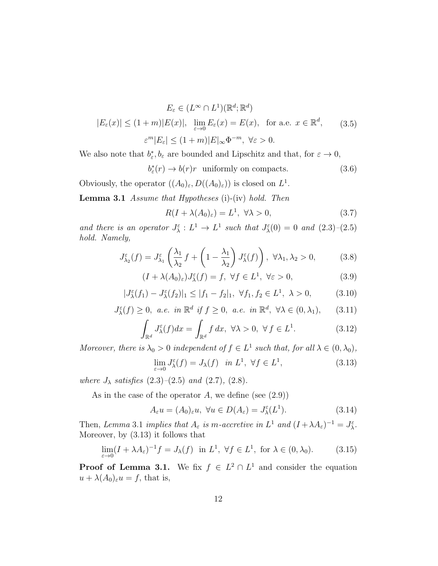$$
E_{\varepsilon} \in (L^{\infty} \cap L^{1})(\mathbb{R}^{d}; \mathbb{R}^{d})
$$
  

$$
|E_{\varepsilon}(x)| \le (1+m)|E(x)|, \lim_{\varepsilon \to 0} E_{\varepsilon}(x) = E(x), \text{ for a.e. } x \in \mathbb{R}^{d}, \qquad (3.5)
$$
  

$$
\varepsilon^{m}|E_{\varepsilon}| \le (1+m)|E|_{\infty} \Phi^{-m}, \forall \varepsilon > 0.
$$

We also note that  $b_{\varepsilon}^*, b_{\varepsilon}$  are bounded and Lipschitz and that, for  $\varepsilon \to 0$ ,

$$
b_{\varepsilon}^*(r) \to b(r)r \quad \text{uniformly on compacts.} \tag{3.6}
$$

Obviously, the operator  $((A_0)_{\varepsilon}, D((A_0)_{\varepsilon}))$  is closed on  $L^1$ .

**Lemma 3.1** Assume that Hypotheses (i)-(iv) hold. Then

$$
R(I + \lambda(A_0)_{\varepsilon}) = L^1, \ \forall \lambda > 0,
$$
\n(3.7)

and there is an operator  $J_{\lambda}^{\varepsilon}: L^1 \to L^1$  such that  $J_{\lambda}^{\varepsilon}(0) = 0$  and  $(2.3)-(2.5)$ hold. Namely,

$$
J_{\lambda_2}^{\varepsilon}(f) = J_{\lambda_1}^{\varepsilon} \left( \frac{\lambda_1}{\lambda_2} f + \left( 1 - \frac{\lambda_1}{\lambda_2} \right) J_{\lambda}^{\varepsilon}(f) \right), \ \forall \lambda_1, \lambda_2 > 0,
$$
 (3.8)

$$
(I + \lambda(A_0)_{\varepsilon})J_{\lambda}^{\varepsilon}(f) = f, \ \forall f \in L^1, \ \forall \varepsilon > 0,
$$
\n(3.9)

$$
|J^{\varepsilon}_{\lambda}(f_1) - J^{\varepsilon}_{\lambda}(f_2)|_1 \le |f_1 - f_2|_1, \ \forall f_1, f_2 \in L^1, \ \lambda > 0,
$$
 (3.10)

$$
J_{\lambda}^{\varepsilon}(f) \ge 0, \ a.e. \ in \ \mathbb{R}^d \ if \ f \ge 0, \ a.e. \ in \ \mathbb{R}^d, \ \forall \lambda \in (0, \lambda_1), \qquad (3.11)
$$

$$
\int_{\mathbb{R}^d} J^{\varepsilon}_{\lambda}(f) dx = \int_{\mathbb{R}^d} f dx, \ \forall \lambda > 0, \ \forall f \in L^1.
$$
 (3.12)

Moreover, there is  $\lambda_0 > 0$  independent of  $f \in L^1$  such that, for all  $\lambda \in (0, \lambda_0)$ ,

$$
\lim_{\varepsilon \to 0} J^{\varepsilon}_{\lambda}(f) = J_{\lambda}(f) \quad \text{in } L^{1}, \ \forall f \in L^{1}, \tag{3.13}
$$

where  $J_{\lambda}$  satisfies  $(2.3)$ – $(2.5)$  and  $(2.7)$ ,  $(2.8)$ .

As in the case of the operator  $A$ , we define (see  $(2.9)$ )

$$
A_{\varepsilon}u = (A_0)_{\varepsilon}u, \ \forall u \in D(A_{\varepsilon}) = J^{\varepsilon}_{\lambda}(L^1). \tag{3.14}
$$

Then, Lemma 3.1 implies that  $A_{\varepsilon}$  is m-accretive in  $L^1$  and  $(I + \lambda A_{\varepsilon})^{-1} = J_{\lambda}^{\varepsilon}$ . Moreover, by (3.13) it follows that

$$
\lim_{\varepsilon \to 0} (I + \lambda A_{\varepsilon})^{-1} f = J_{\lambda}(f) \text{ in } L^{1}, \ \forall f \in L^{1}, \text{ for } \lambda \in (0, \lambda_{0}).
$$
 (3.15)

**Proof of Lemma 3.1.** We fix  $f \in L^2 \cap L^1$  and consider the equation  $u + \lambda(A_0)_{\varepsilon}u = f$ , that is,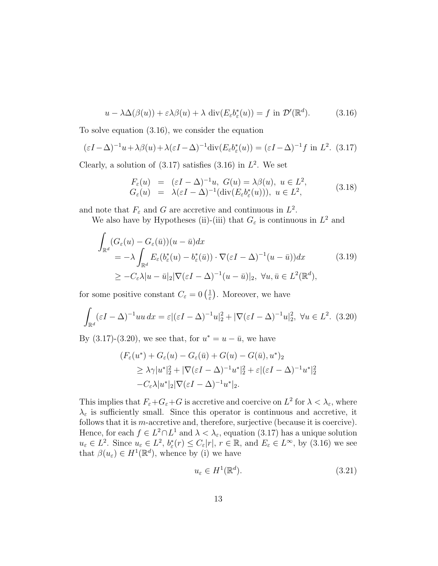$$
u - \lambda \Delta(\beta(u)) + \varepsilon \lambda \beta(u) + \lambda \operatorname{div}(E_{\varepsilon} b_{\varepsilon}^*(u)) = f \text{ in } \mathcal{D}'(\mathbb{R}^d). \tag{3.16}
$$

To solve equation (3.16), we consider the equation

$$
(\varepsilon I - \Delta)^{-1} u + \lambda \beta(u) + \lambda (\varepsilon I - \Delta)^{-1} \text{div}(E_{\varepsilon} b_{\varepsilon}^*(u)) = (\varepsilon I - \Delta)^{-1} f \text{ in } L^2. (3.17)
$$

Clearly, a solution of  $(3.17)$  satisfies  $(3.16)$  in  $L^2$ . We set

$$
F_{\varepsilon}(u) = (\varepsilon I - \Delta)^{-1} u, \ G(u) = \lambda \beta(u), \ u \in L^2,
$$
  
\n
$$
G_{\varepsilon}(u) = \lambda (\varepsilon I - \Delta)^{-1} (\text{div}(E_{\varepsilon} b_{\varepsilon}^*(u))), \ u \in L^2,
$$
\n(3.18)

and note that  $F_{\varepsilon}$  and G are accretive and continuous in  $L^2$ .

We also have by Hypotheses (ii)-(iii) that  $G_{\varepsilon}$  is continuous in  $L^2$  and

$$
\int_{\mathbb{R}^d} (G_{\varepsilon}(u) - G_{\varepsilon}(\bar{u}))(u - \bar{u}) dx
$$
\n
$$
= -\lambda \int_{\mathbb{R}^d} E_{\varepsilon}(b_{\varepsilon}^*(u) - b_{\varepsilon}^*(\bar{u})) \cdot \nabla (\varepsilon I - \Delta)^{-1}(u - \bar{u})) dx
$$
\n
$$
\geq -C_{\varepsilon} \lambda |u - \bar{u}|_2 |\nabla (\varepsilon I - \Delta)^{-1}(u - \bar{u})|_2, \ \forall u, \bar{u} \in L^2(\mathbb{R}^d),
$$
\n(3.19)

for some positive constant  $C_{\varepsilon} = 0 \left( \frac{1}{\varepsilon} \right)$  $(\frac{1}{\varepsilon})$ . Moreover, we have

$$
\int_{\mathbb{R}^d} (\varepsilon I - \Delta)^{-1} uu \, dx = \varepsilon |(\varepsilon I - \Delta)^{-1} u|_2^2 + |\nabla (\varepsilon I - \Delta)^{-1} u|_2^2, \ \forall u \in L^2. \tag{3.20}
$$

By  $(3.17)-(3.20)$ , we see that, for  $u^* = u - \bar{u}$ , we have

$$
(F_{\varepsilon}(u^*) + G_{\varepsilon}(u) - G_{\varepsilon}(\bar{u}) + G(u) - G(\bar{u}), u^*)_2
$$
  
\n
$$
\geq \lambda \gamma |u^*|_2^2 + |\nabla(\varepsilon I - \Delta)^{-1}u^*|_2^2 + \varepsilon |(\varepsilon I - \Delta)^{-1}u^*|_2^2
$$
  
\n
$$
-C_{\varepsilon} \lambda |u^*|_2 |\nabla(\varepsilon I - \Delta)^{-1}u^*|_2.
$$

This implies that  $F_{\varepsilon}+G_{\varepsilon}+G$  is accretive and coercive on  $L^2$  for  $\lambda < \lambda_{\varepsilon}$ , where  $\lambda_{\varepsilon}$  is sufficiently small. Since this operator is continuous and accretive, it follows that it is m-accretive and, therefore, surjective (because it is coercive). Hence, for each  $f \in L^2 \cap L^1$  and  $\lambda < \lambda_{\varepsilon}$ , equation (3.17) has a unique solution  $u_{\varepsilon} \in L^2$ . Since  $u_{\varepsilon} \in L^2$ ,  $b_{\varepsilon}^*(r) \leq C_{\varepsilon}|r|, r \in \mathbb{R}$ , and  $E_{\varepsilon} \in L^{\infty}$ , by (3.16) we see that  $\beta(u_{\varepsilon}) \in H^1(\mathbb{R}^d)$ , whence by (i) we have

$$
u_{\varepsilon} \in H^1(\mathbb{R}^d). \tag{3.21}
$$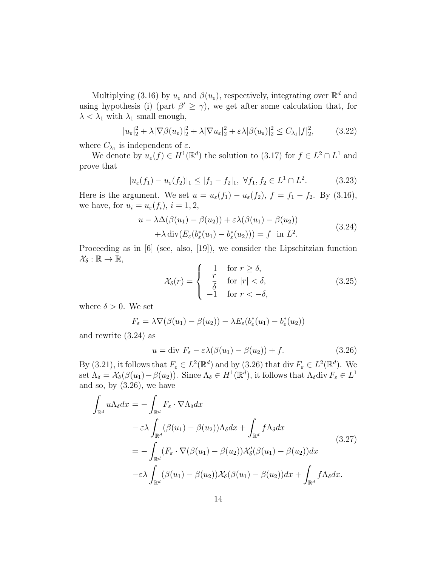Multiplying (3.16) by  $u_{\varepsilon}$  and  $\beta(u_{\varepsilon})$ , respectively, integrating over  $\mathbb{R}^d$  and using hypothesis (i) (part  $\beta' \geq \gamma$ ), we get after some calculation that, for  $\lambda < \lambda_1$  with  $\lambda_1$  small enough,

$$
|u_{\varepsilon}|_{2}^{2} + \lambda |\nabla \beta(u_{\varepsilon})|_{2}^{2} + \lambda |\nabla u_{\varepsilon}|_{2}^{2} + \varepsilon \lambda |\beta(u_{\varepsilon})|_{2}^{2} \le C_{\lambda_{1}} |f|_{2}^{2}, \qquad (3.22)
$$

where  $C_{\lambda_1}$  is independent of  $\varepsilon$ .

We denote by  $u_{\varepsilon}(f) \in H^1(\mathbb{R}^d)$  the solution to (3.17) for  $f \in L^2 \cap L^1$  and prove that

$$
|u_{\varepsilon}(f_1) - u_{\varepsilon}(f_2)|_1 \le |f_1 - f_2|_1, \ \forall f_1, f_2 \in L^1 \cap L^2. \tag{3.23}
$$

Here is the argument. We set  $u = u_{\varepsilon}(f_1) - u_{\varepsilon}(f_2)$ ,  $f = f_1 - f_2$ . By (3.16), we have, for  $u_i = u_{\varepsilon}(f_i)$ ,  $i = 1, 2$ ,

$$
u - \lambda \Delta(\beta(u_1) - \beta(u_2)) + \varepsilon \lambda(\beta(u_1) - \beta(u_2))
$$
  
+ 
$$
\lambda \operatorname{div}(E_{\varepsilon}(b_{\varepsilon}^*(u_1) - b_{\varepsilon}^*(u_2))) = f \quad \text{in } L^2.
$$
 (3.24)

Proceeding as in [6] (see, also, [19]), we consider the Lipschitzian function  $\mathcal{X}_{\delta}:\mathbb{R}\to\mathbb{R},$ 

$$
\mathcal{X}_{\delta}(r) = \begin{cases}\n1 & \text{for } r \ge \delta, \\
\frac{r}{\delta} & \text{for } |r| < \delta, \\
-1 & \text{for } r < -\delta,\n\end{cases}
$$
\n(3.25)

where  $\delta > 0$ . We set

$$
F_{\varepsilon} = \lambda \nabla (\beta(u_1) - \beta(u_2)) - \lambda E_{\varepsilon} (b_{\varepsilon}^*(u_1) - b_{\varepsilon}^*(u_2))
$$

and rewrite (3.24) as

$$
u = \text{div } F_{\varepsilon} - \varepsilon \lambda (\beta(u_1) - \beta(u_2)) + f. \tag{3.26}
$$

By (3.21), it follows that  $F_{\varepsilon} \in L^2(\mathbb{R}^d)$  and by (3.26) that div  $F_{\varepsilon} \in L^2(\mathbb{R}^d)$ . We set  $\Lambda_{\delta} = \mathcal{X}_{\delta}(\beta(u_1) - \beta(u_2))$ . Since  $\Lambda_{\delta} \in H^1(\mathbb{R}^d)$ , it follows that  $\Lambda_{\delta}$ div  $F_{\varepsilon} \in L^1$ and so, by  $(3.26)$ , we have

$$
\int_{\mathbb{R}^d} u \Lambda_{\delta} dx = - \int_{\mathbb{R}^d} F_{\varepsilon} \cdot \nabla \Lambda_{\delta} dx \n- \varepsilon \lambda \int_{\mathbb{R}^d} (\beta(u_1) - \beta(u_2)) \Lambda_{\delta} dx + \int_{\mathbb{R}^d} f \Lambda_{\delta} dx \n= - \int_{\mathbb{R}^d} (F_{\varepsilon} \cdot \nabla (\beta(u_1) - \beta(u_2)) \mathcal{X}'_{\delta} (\beta(u_1) - \beta(u_2)) dx \n- \varepsilon \lambda \int_{\mathbb{R}^d} (\beta(u_1) - \beta(u_2)) \mathcal{X}_{\delta} (\beta(u_1) - \beta(u_2)) dx + \int_{\mathbb{R}^d} f \Lambda_{\delta} dx.
$$
\n(3.27)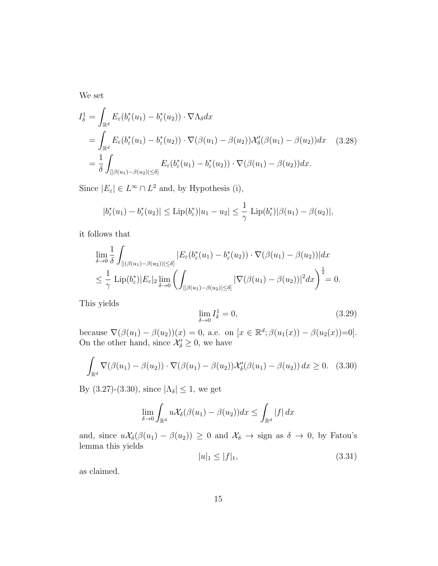We set

$$
I_{\delta}^{1} = \int_{\mathbb{R}^{d}} E_{\varepsilon}(b_{\varepsilon}^{*}(u_{1}) - b_{\varepsilon}^{*}(u_{2})) \cdot \nabla \Lambda_{\delta} dx
$$
  
\n
$$
= \int_{\mathbb{R}^{d}} E_{\varepsilon}(b_{\varepsilon}^{*}(u_{1}) - b_{\varepsilon}^{*}(u_{2})) \cdot \nabla (\beta(u_{1}) - \beta(u_{2})) \mathcal{X}'_{\delta}(\beta(u_{1}) - \beta(u_{2})) dx \quad (3.28)
$$
  
\n
$$
= \frac{1}{\delta} \int_{[|\beta(u_{1}) - \beta(u_{2})| \leq \delta]} E_{\varepsilon}(b_{\varepsilon}^{*}(u_{1}) - b_{\varepsilon}^{*}(u_{2})) \cdot \nabla (\beta(u_{1}) - \beta(u_{2})) dx.
$$

Since  $|E_{\varepsilon}| \in L^{\infty} \cap L^{2}$  and, by Hypothesis (i),

$$
|b_{\varepsilon}^*(u_1) - b_{\varepsilon}^*(u_2)| \le \mathrm{Lip}(b_{\varepsilon}^*)|u_1 - u_2| \le \frac{1}{\gamma} \mathrm{Lip}(b_{\varepsilon}^*)|\beta(u_1) - \beta(u_2)|,
$$

it follows that

$$
\lim_{\delta \to 0} \frac{1}{\delta} \int_{[|(\beta(u_1) - \beta(u_2))| \le \delta]} |E_{\varepsilon}(b_{\varepsilon}^*(u_1) - b_{\varepsilon}^*(u_2)) \cdot \nabla(\beta(u_1) - \beta(u_2))| dx
$$
\n
$$
\le \frac{1}{\gamma} \operatorname{Lip}(b_{\varepsilon}^*) |E_{\varepsilon}|_2 \lim_{\delta \to 0} \left( \int_{[|\beta(u_1) - \beta(u_2)| \le \delta]} |\nabla(\beta(u_1) - \beta(u_2))|^2 dx \right)^{\frac{1}{2}} = 0.
$$

This yields

$$
\lim_{\delta \to 0} I_{\delta}^1 = 0,\tag{3.29}
$$

because  $\nabla(\beta(u_1) - \beta(u_2))(x) = 0$ , a.e. on  $[x \in \mathbb{R}^d; \beta(u_1(x)) - \beta(u_2(x))=0]$ . On the other hand, since  $\mathcal{X}'_{\delta} \geq 0$ , we have

$$
\int_{\mathbb{R}^d} \nabla(\beta(u_1) - \beta(u_2)) \cdot \nabla(\beta(u_1) - \beta(u_2)) \mathcal{X}'_{\delta}(\beta(u_1) - \beta(u_2)) dx \ge 0. \quad (3.30)
$$

By (3.27)-(3.30), since  $|\Lambda_{\delta}| \leq 1$ , we get

$$
\lim_{\delta \to 0} \int_{\mathbb{R}^d} u \mathcal{X}_{\delta}(\beta(u_1) - \beta(u_2)) dx \le \int_{\mathbb{R}^d} |f| dx
$$

and, since  $u\mathcal{X}_{\delta}(\beta(u_1) - \beta(u_2)) \geq 0$  and  $\mathcal{X}_{\delta} \to \text{sign}$  as  $\delta \to 0$ , by Fatou's lemma this yields

$$
|u|_1 \le |f|_1,\tag{3.31}
$$

as claimed.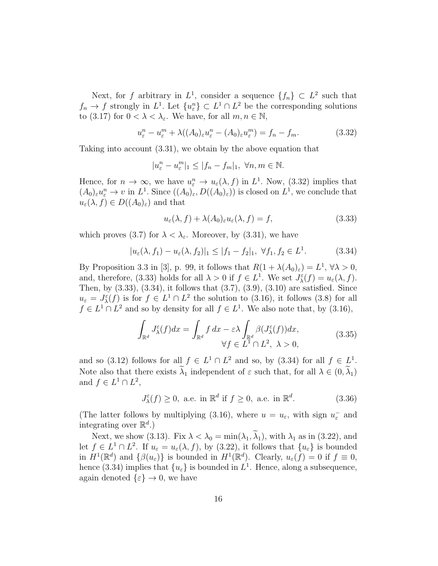Next, for f arbitrary in  $L^1$ , consider a sequence  $\{f_n\} \subset L^2$  such that  $f_n \to f$  strongly in  $L^1$ . Let  $\{u_{\varepsilon}^n\} \subset L^1 \cap L^2$  be the corresponding solutions to (3.17) for  $0 < \lambda < \lambda_{\varepsilon}$ . We have, for all  $m, n \in \mathbb{N}$ ,

$$
u_{\varepsilon}^{n} - u_{\varepsilon}^{m} + \lambda((A_{0})_{\varepsilon}u_{\varepsilon}^{n} - (A_{0})_{\varepsilon}u_{\varepsilon}^{m}) = f_{n} - f_{m}.
$$
 (3.32)

Taking into account (3.31), we obtain by the above equation that

$$
|u_{\varepsilon}^{n}-u_{\varepsilon}^{m}|_{1}\leq |f_{n}-f_{m}|_{1},\ \forall n,m\in\mathbb{N}.
$$

Hence, for  $n \to \infty$ , we have  $u_{\varepsilon}^n \to u_{\varepsilon}(\lambda, f)$  in  $L^1$ . Now, (3.32) implies that  $(A_0)_{\varepsilon}u_{\varepsilon}^n \to v$  in  $L^1$ . Since  $((A_0)_{\varepsilon}, D((A_0)_{\varepsilon}))$  is closed on  $L^1$ , we conclude that  $u_{\varepsilon}(\lambda, f) \in D((A_0)_{\varepsilon})$  and that

$$
u_{\varepsilon}(\lambda, f) + \lambda(A_0)_{\varepsilon} u_{\varepsilon}(\lambda, f) = f,\tag{3.33}
$$

which proves (3.7) for  $\lambda < \lambda_{\varepsilon}$ . Moreover, by (3.31), we have

$$
|u_{\varepsilon}(\lambda, f_1) - u_{\varepsilon}(\lambda, f_2)|_1 \le |f_1 - f_2|_1, \ \forall f_1, f_2 \in L^1.
$$
 (3.34)

By Proposition 3.3 in [3], p. 99, it follows that  $R(1 + \lambda(A_0)_{\varepsilon}) = L^1$ ,  $\forall \lambda > 0$ , and, therefore, (3.33) holds for all  $\lambda > 0$  if  $f \in L^1$ . We set  $J_{\lambda}^{\varepsilon}(f) = u_{\varepsilon}(\lambda, f)$ . Then, by (3.33), (3.34), it follows that (3.7), (3.9), (3.10) are satisfied. Since  $u_{\varepsilon} = J_{\lambda}^{\varepsilon}(f)$  is for  $f \in L^{1} \cap L^{2}$  the solution to (3.16), it follows (3.8) for all  $f \in L^1 \cap L^2$  and so by density for all  $f \in L^1$ . We also note that, by (3.16),

$$
\int_{\mathbb{R}^d} J^{\varepsilon}_{\lambda}(f) dx = \int_{\mathbb{R}^d} f dx - \varepsilon \lambda \int_{\mathbb{R}^d} \beta (J^{\varepsilon}_{\lambda}(f)) dx,
$$
\n
$$
\forall f \in L^1 \cap L^2, \ \lambda > 0,
$$
\n(3.35)

and so (3.12) follows for all  $f \in L^1 \cap L^2$  and so, by (3.34) for all  $f \in L^1$ . Note also that there exists  $\tilde{\lambda}_1$  independent of  $\varepsilon$  such that, for all  $\lambda \in (0, \tilde{\lambda}_1)$ and  $f \in L^1 \cap L^2$ ,

$$
J_{\lambda}^{\varepsilon}(f) \ge 0, \text{ a.e. in } \mathbb{R}^d \text{ if } f \ge 0, \text{ a.e. in } \mathbb{R}^d. \tag{3.36}
$$

(The latter follows by multiplying (3.16), where  $u = u_{\varepsilon}$ , with sign  $u_{\varepsilon}^-$  and integrating over  $\mathbb{R}^d$ .)

Next, we show (3.13). Fix  $\lambda < \lambda_0 = \min(\lambda_1, \widetilde{\lambda}_1)$ , with  $\lambda_1$  as in (3.22), and let  $f \in L^1 \cap L^2$ . If  $u_{\varepsilon} = u_{\varepsilon}(\lambda, f)$ , by (3.22), it follows that  $\{u_{\varepsilon}\}\)$  is bounded in  $H^1(\mathbb{R}^d)$  and  $\{\beta(u_\varepsilon)\}\$ is bounded in  $H^1(\mathbb{R}^d)$ . Clearly,  $u_\varepsilon(f)=0$  if  $f\equiv 0$ , hence (3.34) implies that  ${u_{\varepsilon}}$  is bounded in  $L^1$ . Hence, along a subsequence, again denoted  $\{\varepsilon\} \to 0$ , we have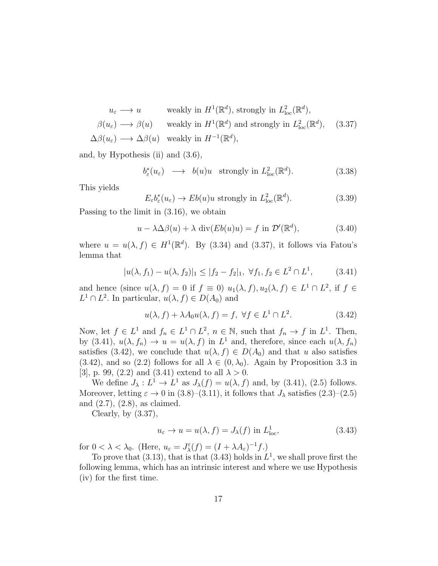$$
u_{\varepsilon} \longrightarrow u \quad \text{weakly in } H^1(\mathbb{R}^d), \text{ strongly in } L^2_{\text{loc}}(\mathbb{R}^d),
$$
  

$$
\beta(u_{\varepsilon}) \longrightarrow \beta(u) \quad \text{weakly in } H^1(\mathbb{R}^d) \text{ and strongly in } L^2_{\text{loc}}(\mathbb{R}^d), \quad (3.37)
$$
  

$$
\Delta\beta(u_{\varepsilon}) \longrightarrow \Delta\beta(u) \quad \text{weakly in } H^{-1}(\mathbb{R}^d),
$$

and, by Hypothesis (ii) and (3.6),

$$
b_{\varepsilon}^*(u_{\varepsilon}) \longrightarrow b(u)u \quad \text{strongly in } L^2_{\text{loc}}(\mathbb{R}^d). \tag{3.38}
$$

This yields

 $E_{\varepsilon}b_{\varepsilon}^*(u_{\varepsilon}) \to Eb(u)u$  strongly in  $L^2_{loc}(\mathbb{R}^d)$  $(3.39)$ 

Passing to the limit in (3.16), we obtain

$$
u - \lambda \Delta \beta(u) + \lambda \operatorname{div}(Eb(u)u) = f \text{ in } \mathcal{D}'(\mathbb{R}^d), \tag{3.40}
$$

where  $u = u(\lambda, f) \in H^1(\mathbb{R}^d)$ . By (3.34) and (3.37), it follows via Fatou's lemma that

$$
|u(\lambda, f_1) - u(\lambda, f_2)|_1 \le |f_2 - f_2|_1, \ \forall f_1, f_2 \in L^2 \cap L^1,
$$
 (3.41)

and hence (since  $u(\lambda, f) = 0$  if  $f \equiv 0$ )  $u_1(\lambda, f), u_2(\lambda, f) \in L^1 \cap L^2$ , if  $f \in$  $L^1 \cap L^2$ . In particular,  $u(\lambda, f) \in D(A_0)$  and

$$
u(\lambda, f) + \lambda A_0 u(\lambda, f) = f, \ \forall f \in L^1 \cap L^2.
$$
 (3.42)

Now, let  $f \in L^1$  and  $f_n \in L^1 \cap L^2$ ,  $n \in \mathbb{N}$ , such that  $f_n \to f$  in  $L^1$ . Then, by (3.41),  $u(\lambda, f_n) \to u = u(\lambda, f)$  in  $L^1$  and, therefore, since each  $u(\lambda, f_n)$ satisfies (3.42), we conclude that  $u(\lambda, f) \in D(A_0)$  and that u also satisfies (3.42), and so (2.2) follows for all  $\lambda \in (0, \lambda_0)$ . Again by Proposition 3.3 in [3], p. 99, (2.2) and (3.41) extend to all  $\lambda > 0$ .

We define  $J_{\lambda}: L^1 \to L^1$  as  $J_{\lambda}(f) = u(\lambda, f)$  and, by (3.41), (2.5) follows. Moreover, letting  $\varepsilon \to 0$  in (3.8)–(3.11), it follows that  $J_{\lambda}$  satisfies (2.3)–(2.5) and (2.7), (2.8), as claimed.

Clearly, by  $(3.37)$ ,

$$
u_{\varepsilon} \to u = u(\lambda, f) = J_{\lambda}(f) \text{ in } L^{1}_{\text{loc}},
$$
\n(3.43)

for  $0 < \lambda < \lambda_0$ . (Here,  $u_{\varepsilon} = J_{\lambda}^{\varepsilon}(f) = (I + \lambda A_{\varepsilon})^{-1}f$ .)

To prove that (3.13), that is that (3.43) holds in  $L^1$ , we shall prove first the following lemma, which has an intrinsic interest and where we use Hypothesis (iv) for the first time.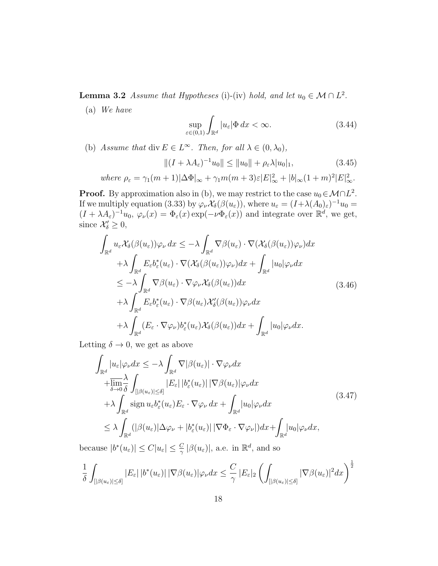**Lemma 3.2** Assume that Hypotheses (i)-(iv) hold, and let  $u_0 \in \mathcal{M} \cap L^2$ .

(a) We have

$$
\sup_{\varepsilon \in (0,1)} \int_{\mathbb{R}^d} |u_{\varepsilon}| \Phi \, dx < \infty. \tag{3.44}
$$

(b) Assume that div  $E \in L^{\infty}$ . Then, for all  $\lambda \in (0, \lambda_0)$ ,

$$
||(I + \lambda A_{\varepsilon})^{-1}u_0|| \le ||u_0|| + \rho_{\varepsilon}\lambda |u_0|_1,
$$
\n(3.45)

where 
$$
\rho_{\varepsilon} = \gamma_1(m+1)|\Delta\Phi|_{\infty} + \gamma_1 m(m+3)\varepsilon|E|_{\infty}^2 + |b|_{\infty}(1+m)^2|E|_{\infty}^2
$$
.

**Proof.** By approximation also in (b), we may restrict to the case  $u_0 \in \mathcal{M} \cap L^2$ . If we multiply equation (3.33) by  $\varphi_{\nu} \mathcal{X}_{\delta}(\beta(u_{\varepsilon}))$ , where  $u_{\varepsilon} = (I + \lambda(A_0)_{\varepsilon})^{-1} u_0 =$  $(I + \lambda A_{\varepsilon})^{-1}u_0, \varphi_{\nu}(x) = \Phi_{\varepsilon}(x) \exp(-\nu \Phi_{\varepsilon}(x))$  and integrate over  $\mathbb{R}^d$ , we get, since  $\mathcal{X}'_{\delta} \geq 0$ ,

$$
\int_{\mathbb{R}^d} u_{\varepsilon} \mathcal{X}_{\delta}(\beta(u_{\varepsilon})) \varphi_{\nu} dx \leq -\lambda \int_{\mathbb{R}^d} \nabla \beta(u_{\varepsilon}) \cdot \nabla (\mathcal{X}_{\delta}(\beta(u_{\varepsilon})) \varphi_{\nu}) dx \n+ \lambda \int_{\mathbb{R}^d} E_{\varepsilon} b_{\varepsilon}^*(u_{\varepsilon}) \cdot \nabla (\mathcal{X}_{\delta}(\beta(u_{\varepsilon})) \varphi_{\nu}) dx + \int_{\mathbb{R}^d} |u_0| \varphi_{\nu} dx \n\leq -\lambda \int_{\mathbb{R}^d} \nabla \beta(u_{\varepsilon}) \cdot \nabla \varphi_{\nu} \mathcal{X}_{\delta}(\beta(u_{\varepsilon})) dx \n+ \lambda \int_{\mathbb{R}^d} E_{\varepsilon} b_{\varepsilon}^*(u_{\varepsilon}) \cdot \nabla \beta(u_{\varepsilon}) \mathcal{X}'_{\delta}(\beta(u_{\varepsilon})) \varphi_{\nu} dx \n+ \lambda \int_{\mathbb{R}^d} (E_{\varepsilon} \cdot \nabla \varphi_{\nu}) b_{\varepsilon}^*(u_{\varepsilon}) \mathcal{X}_{\delta}(\beta(u_{\varepsilon})) dx + \int_{\mathbb{R}^d} |u_0| \varphi_{\nu} dx.
$$
\n(3.46)

Letting  $\delta \to 0$ , we get as above

$$
\int_{\mathbb{R}^d} |u_{\varepsilon}| \varphi_{\nu} dx \leq -\lambda \int_{\mathbb{R}^d} \nabla |\beta(u_{\varepsilon})| \cdot \nabla \varphi_{\nu} dx \n+ \overline{\lim_{\delta \to 0} \frac{\lambda}{\delta}} \int_{[|\beta(u_{\varepsilon})| \leq \delta]} |E_{\varepsilon}| |b_{\varepsilon}^*(u_{\varepsilon})| |\nabla \beta(u_{\varepsilon})| \varphi_{\nu} dx \n+ \lambda \int_{\mathbb{R}^d} \operatorname{sign} u_{\varepsilon} b_{\varepsilon}^*(u_{\varepsilon}) E_{\varepsilon} \cdot \nabla \varphi_{\nu} dx + \int_{\mathbb{R}^d} |u_0| \varphi_{\nu} dx \n\leq \lambda \int_{\mathbb{R}^d} (|\beta(u_{\varepsilon})| \Delta \varphi_{\nu} + |b_{\varepsilon}^*(u_{\varepsilon})| |\nabla \Phi_{\varepsilon} \cdot \nabla \varphi_{\nu}|) dx + \int_{\mathbb{R}^d} |u_0| \varphi_{\nu} dx,
$$
\n(3.47)

because  $|b^*(u_{\varepsilon})| \leq C|u_{\varepsilon}| \leq \frac{C}{\gamma} |\beta(u_{\varepsilon})|$ , a.e. in  $\mathbb{R}^d$ , and so

$$
\frac{1}{\delta} \int_{\left[ \left| \beta(u_{\varepsilon}) \right| \leq \delta \right]} \left| E_{\varepsilon} \right| \left| b^*(u_{\varepsilon}) \right| |\nabla \beta(u_{\varepsilon})| \varphi_{\nu} dx \leq \frac{C}{\gamma} \left| E_{\varepsilon} \right|_2 \left( \int_{\left[ \left| \beta(u_{\varepsilon}) \right| \leq \delta \right]} |\nabla \beta(u_{\varepsilon})|^2 dx \right)^{\frac{1}{2}}
$$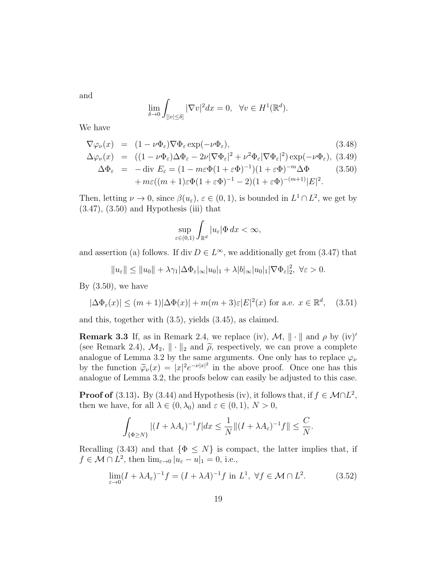and

$$
\lim_{\delta \to 0} \int_{[|v| \le \delta]} |\nabla v|^2 dx = 0, \quad \forall v \in H^1(\mathbb{R}^d).
$$

We have

$$
\nabla \varphi_{\nu}(x) = (1 - \nu \Phi_{\varepsilon}) \nabla \Phi_{\varepsilon} \exp(-\nu \Phi_{\varepsilon}), \qquad (3.48)
$$

$$
\Delta \varphi_{\nu}(x) = ((1 - \nu \Phi_{\varepsilon}) \Delta \Phi_{\varepsilon} - 2\nu |\nabla \Phi_{\varepsilon}|^2 + \nu^2 \Phi_{\varepsilon} |\nabla \Phi_{\varepsilon}|^2) \exp(-\nu \Phi_{\varepsilon}), (3.49)
$$

$$
\Delta \Phi_{\varepsilon} = -\operatorname{div} E_{\varepsilon} = (1 - m\varepsilon \Phi (1 + \varepsilon \Phi)^{-1})(1 + \varepsilon \Phi)^{-m} \Delta \Phi
$$
  
+ 
$$
m\varepsilon ((m+1)\varepsilon \Phi (1 + \varepsilon \Phi)^{-1} - 2)(1 + \varepsilon \Phi)^{-(m+1)} |E|^2.
$$
 (3.50)

Then, letting  $\nu \to 0$ , since  $\beta(u_{\varepsilon}), \varepsilon \in (0,1)$ , is bounded in  $L^1 \cap L^2$ , we get by  $(3.47)$ ,  $(3.50)$  and Hypothesis (iii) that

$$
\sup_{\varepsilon \in (0,1)} \int_{\mathbb{R}^d} |u_{\varepsilon}| \Phi \, dx < \infty,
$$

and assertion (a) follows. If div  $D \in L^{\infty}$ , we additionally get from (3.47) that

 $||u_{\varepsilon}|| \le ||u_0|| + \lambda \gamma_1 |\Delta \Phi_{\varepsilon}|_{\infty} |u_0|_1 + \lambda |b|_{\infty} |u_0|_1 |\nabla \Phi_{\varepsilon}|_2^2, \ \forall \varepsilon > 0.$ 

By  $(3.50)$ , we have

$$
|\Delta\Phi_{\varepsilon}(x)| \le (m+1)|\Delta\Phi(x)| + m(m+3)\varepsilon|E|^2(x) \text{ for a.e. } x \in \mathbb{R}^d, \quad (3.51)
$$

and this, together with (3.5), yields (3.45), as claimed.

**Remark 3.3** If, as in Remark 2.4, we replace (iv),  $\mathcal{M}$ ,  $\|\cdot\|$  and  $\rho$  by (iv)' (see Remark 2.4),  $\mathcal{M}_2$ ,  $\|\cdot\|_2$  and  $\tilde{\rho}$ , respectively, we can prove a complete analogue of Lemma 3.2 by the same arguments. One only has to replace  $\varphi_{\nu}$ by the function  $\tilde{\varphi}_{\nu}(x) = |x|^2 e^{-\nu |x|^2}$  in the above proof. Once one has this analogue of Lemma 3.2, the proofs below can easily be adjusted to this case.

**Proof of** (3.13). By (3.44) and Hypothesis (iv), it follows that, if  $f \in M \cap L^2$ , then we have, for all  $\lambda \in (0, \lambda_0)$  and  $\varepsilon \in (0, 1)$ ,  $N > 0$ ,

$$
\int_{\{\Phi\geq N\}}|(I+\lambda A_{\varepsilon})^{-1}f|dx\leq \frac{1}{N}\|(I+\lambda A_{\varepsilon})^{-1}f\|\leq \frac{C}{N}.
$$

Recalling (3.43) and that  $\{\Phi \leq N\}$  is compact, the latter implies that, if  $f \in \mathcal{M} \cap L^2$ , then  $\lim_{\varepsilon \to 0} |u_{\varepsilon} - u|_1 = 0$ , i.e.,

$$
\lim_{\varepsilon \to 0} (I + \lambda A_{\varepsilon})^{-1} f = (I + \lambda A)^{-1} f \text{ in } L^1, \ \forall f \in \mathcal{M} \cap L^2.
$$
 (3.52)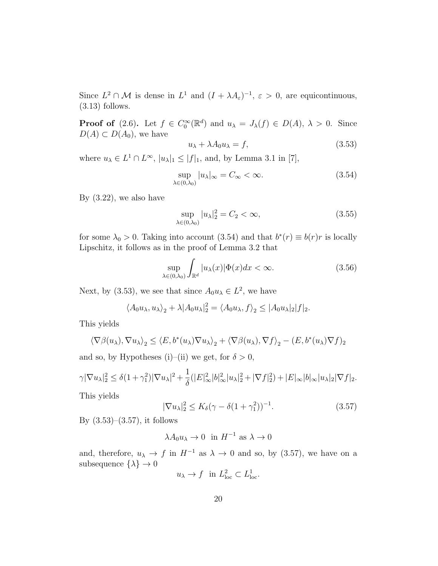Since  $L^2 \cap \mathcal{M}$  is dense in  $L^1$  and  $(I + \lambda A_\varepsilon)^{-1}$ ,  $\varepsilon > 0$ , are equicontinuous,  $(3.13)$  follows.

**Proof of** (2.6). Let  $f \in C_0^{\infty}(\mathbb{R}^d)$  and  $u_{\lambda} = J_{\lambda}(f) \in D(A), \lambda > 0$ . Since  $D(A) \subset D(A_0)$ , we have

$$
u_{\lambda} + \lambda A_0 u_{\lambda} = f,\tag{3.53}
$$

where  $u_{\lambda} \in L^1 \cap L^{\infty}$ ,  $|u_{\lambda}|_1 \leq |f|_1$ , and, by Lemma 3.1 in [7],

$$
\sup_{\lambda \in (0,\lambda_0)} |u_{\lambda}|_{\infty} = C_{\infty} < \infty.
$$
\n(3.54)

By (3.22), we also have

$$
\sup_{\lambda \in (0,\lambda_0)} |u_{\lambda}|_2^2 = C_2 < \infty,\tag{3.55}
$$

for some  $\lambda_0 > 0$ . Taking into account (3.54) and that  $b^*(r) \equiv b(r)r$  is locally Lipschitz, it follows as in the proof of Lemma 3.2 that

$$
\sup_{\lambda \in (0,\lambda_0)} \int_{\mathbb{R}^d} |u_\lambda(x)| \Phi(x) dx < \infty. \tag{3.56}
$$

Next, by (3.53), we see that since  $A_0 u_\lambda \in L^2$ , we have

$$
\langle A_0 u_\lambda, u_\lambda \rangle_2 + \lambda |A_0 u_\lambda|_2^2 = \langle A_0 u_\lambda, f \rangle_2 \le |A_0 u_\lambda|_2 |f|_2.
$$

This yields

$$
\langle \nabla \beta(u_{\lambda}), \nabla u_{\lambda} \rangle_2 \leq \langle E, b^*(u_{\lambda}) \nabla u_{\lambda} \rangle_2 + \langle \nabla \beta(u_{\lambda}), \nabla f \rangle_2 - (E, b^*(u_{\lambda}) \nabla f)_2
$$

and so, by Hypotheses (i)–(ii) we get, for  $\delta > 0$ ,

$$
\gamma |\nabla u_{\lambda}|_{2}^{2} \leq \delta (1+\gamma_{1}^{2})|\nabla u_{\lambda}|^{2} + \frac{1}{\delta}(|E|_{\infty}^{2}|b|_{\infty}^{2}|u_{\lambda}|_{2}^{2} + |\nabla f|_{2}^{2}) + |E|_{\infty}|b|_{\infty}|u_{\lambda}|_{2}|\nabla f|_{2}.
$$

This yields

$$
|\nabla u_{\lambda}|_{2}^{2} \le K_{\delta}(\gamma - \delta(1 + \gamma_{1}^{2}))^{-1}.
$$
\n(3.57)

By  $(3.53)$ – $(3.57)$ , it follows

$$
\lambda A_0 u_\lambda \to 0 \text{ in } H^{-1} \text{ as } \lambda \to 0
$$

and, therefore,  $u_{\lambda} \to f$  in  $H^{-1}$  as  $\lambda \to 0$  and so, by (3.57), we have on a subsequence  $\{\lambda\} \to 0$ 

$$
u_{\lambda} \to f
$$
 in  $L^2_{loc} \subset L^1_{loc}$ .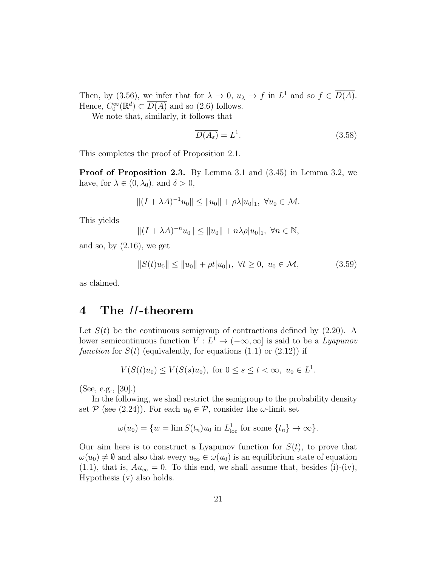Then, by (3.56), we infer that for  $\lambda \to 0$ ,  $u_{\lambda} \to f$  in  $L^1$  and so  $f \in \overline{D(A)}$ . Hence,  $C_0^{\infty}(\mathbb{R}^d) \subset \overline{D(A)}$  and so (2.6) follows.

We note that, similarly, it follows that

$$
\overline{D(A_{\varepsilon})} = L^1. \tag{3.58}
$$

This completes the proof of Proposition 2.1.

Proof of Proposition 2.3. By Lemma 3.1 and (3.45) in Lemma 3.2, we have, for  $\lambda \in (0, \lambda_0)$ , and  $\delta > 0$ ,

$$
|| (I + \lambda A)^{-1} u_0 || \le ||u_0|| + \rho \lambda |u_0|_1, \ \forall u_0 \in \mathcal{M}.
$$

This yields

$$
||(I + \lambda A)^{-n}u_0|| \le ||u_0|| + n\lambda \rho |u_0|_1, \ \forall n \in \mathbb{N},
$$

and so, by  $(2.16)$ , we get

$$
||S(t)u_0|| \le ||u_0|| + \rho t |u_0|_1, \ \forall t \ge 0, \ u_0 \in \mathcal{M}, \tag{3.59}
$$

as claimed.

#### 4 The H-theorem

Let  $S(t)$  be the continuous semigroup of contractions defined by  $(2.20)$ . A lower semicontinuous function  $V: L^1 \to (-\infty, \infty]$  is said to be a *Lyapunov* function for  $S(t)$  (equivalently, for equations  $(1.1)$  or  $(2.12)$ ) if

$$
V(S(t)u_0) \le V(S(s)u_0), \text{ for } 0 \le s \le t < \infty, \ u_0 \in L^1.
$$

(See, e.g., [30].)

In the following, we shall restrict the semigroup to the probability density set  $P$  (see (2.24)). For each  $u_0 \in P$ , consider the  $\omega$ -limit set

$$
\omega(u_0) = \{w = \lim S(t_n)u_0 \text{ in } L^1_{loc} \text{ for some } \{t_n\} \to \infty\}.
$$

Our aim here is to construct a Lyapunov function for  $S(t)$ , to prove that  $\omega(u_0) \neq \emptyset$  and also that every  $u_\infty \in \omega(u_0)$  is an equilibrium state of equation (1.1), that is,  $Au_{\infty} = 0$ . To this end, we shall assume that, besides (i)-(iv), Hypothesis (v) also holds.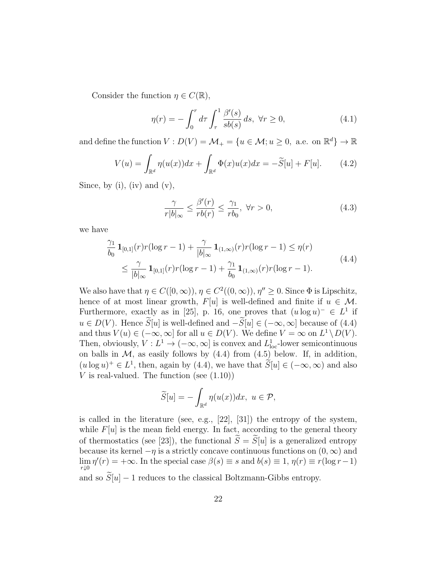Consider the function  $\eta \in C(\mathbb{R}),$ 

$$
\eta(r) = -\int_0^r d\tau \int_\tau^1 \frac{\beta'(s)}{sb(s)} ds, \ \forall r \ge 0,
$$
\n(4.1)

and define the function  $V: D(V) = \mathcal{M}_+ = \{u \in \mathcal{M}; u \geq 0, \text{ a.e. on } \mathbb{R}^d\} \to \mathbb{R}$ 

$$
V(u) = \int_{\mathbb{R}^d} \eta(u(x))dx + \int_{\mathbb{R}^d} \Phi(x)u(x)dx = -\widetilde{S}[u] + F[u]. \tag{4.2}
$$

Since, by (i), (iv) and  $(v)$ ,

$$
\frac{\gamma}{r|b|_{\infty}} \le \frac{\beta'(r)}{rb(r)} \le \frac{\gamma_1}{rb_0}, \ \forall r > 0,
$$
\n(4.3)

we have

$$
\frac{\gamma_1}{b_0} \mathbf{1}_{[0,1]}(r) r(\log r - 1) + \frac{\gamma}{|b|_{\infty}} \mathbf{1}_{(1,\infty)}(r) r(\log r - 1) \le \eta(r)
$$
\n
$$
\le \frac{\gamma}{|b|_{\infty}} \mathbf{1}_{[0,1]}(r) r(\log r - 1) + \frac{\gamma_1}{b_0} \mathbf{1}_{(1,\infty)}(r) r(\log r - 1).
$$
\n(4.4)

We also have that  $\eta \in C([0,\infty)), \eta \in C^2((0,\infty)), \eta'' \geq 0$ . Since  $\Phi$  is Lipschitz, hence of at most linear growth,  $F[u]$  is well-defined and finite if  $u \in \mathcal{M}$ . Furthermore, exactly as in [25], p. 16, one proves that  $(u \log u)^- \in L^1$  if  $u \in D(V)$ . Hence  $\widetilde{S}[u]$  is well-defined and  $-\widetilde{S}[u] \in (-\infty, \infty]$  because of (4.4) and thus  $V(u) \in (-\infty, \infty]$  for all  $u \in D(V)$ . We define  $V = \infty$  on  $L^1 \backslash D(V)$ . Then, obviously,  $V: L^1 \to (-\infty, \infty]$  is convex and  $L^1_{loc}$ -lower semicontinuous on balls in  $M$ , as easily follows by  $(4.4)$  from  $(4.5)$  below. If, in addition,  $(u \log u)^+ \in L^1$ , then, again by (4.4), we have that  $\widetilde{S}[u] \in (-\infty, \infty)$  and also V is real-valued. The function (see  $(1.10)$ )

$$
\widetilde{S}[u] = -\int_{\mathbb{R}^d} \eta(u(x))dx, \ u \in \mathcal{P},
$$

is called in the literature (see, e.g., [22], [31]) the entropy of the system, while  $F[u]$  is the mean field energy. In fact, according to the general theory of thermostatics (see [23]), the functional  $\widetilde{S} = \widetilde{S}[u]$  is a generalized entropy because its kernel  $-\eta$  is a strictly concave continuous functions on  $(0, \infty)$  and  $\lim_{r\downarrow 0} \eta'(r) = +\infty$ . In the special case  $\beta(s) \equiv s$  and  $b(s) \equiv 1, \eta(r) \equiv r(\log r - 1)$ and so  $\widetilde{S}[u] - 1$  reduces to the classical Boltzmann-Gibbs entropy.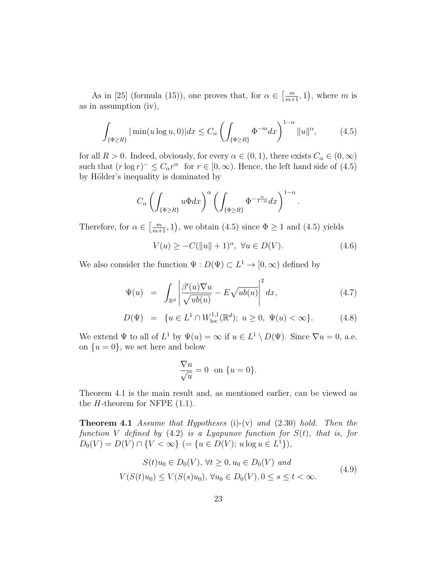As in [25] (formula (15)), one proves that, for  $\alpha \in \left[\frac{m}{m+1}, 1\right)$ , where m is as in assumption (iv),

$$
\int_{\{\Phi\ge R\}} |\min(u\log u,0)| dx \le C_{\alpha} \left(\int_{\{\Phi\ge R\}} \Phi^{-m} dx\right)^{1-\alpha} \|u\|^{\alpha},\tag{4.5}
$$

for all  $R > 0$ . Indeed, obviously, for every  $\alpha \in (0, 1)$ , there exists  $C_{\alpha} \in (0, \infty)$ such that  $(r \log r)^{-1} \leq C_{\alpha} r^{\alpha}$  for  $r \in [0, \infty)$ . Hence, the left hand side of  $(4.5)$ by Hölder's inequality is dominated by

$$
C_{\alpha} \left( \int_{\{\Phi \ge R\}} u \Phi dx \right)^{\alpha} \left( \int_{\{\Phi \ge R\}} \Phi^{-\frac{\alpha}{1-\alpha}} dx \right)^{1-\alpha}.
$$

Therefore, for  $\alpha \in \left[\frac{m}{m+1}, 1\right)$ , we obtain (4.5) since  $\Phi \ge 1$  and (4.5) yields

 $V(u) \geq -C(\|u\| + 1)^{\alpha}, \ \forall u \in D(V).$  (4.6)

We also consider the function  $\Psi : D(\Psi) \subset L^1 \to [0, \infty)$  defined by

$$
\Psi(u) = \int_{\mathbb{R}^d} \left| \frac{\beta'(u)\nabla u}{\sqrt{ub(u)}} - E\sqrt{ub(u)} \right|^2 dx, \tag{4.7}
$$

$$
D(\Psi) = \{ u \in L^1 \cap W^{1,1}_{loc}(\mathbb{R}^d); \ u \ge 0, \ \Psi(u) < \infty \}. \tag{4.8}
$$

We extend  $\Psi$  to all of  $L^1$  by  $\Psi(u) = \infty$  if  $u \in L^1 \setminus D(\Psi)$ . Since  $\nabla u = 0$ , a.e. on  $\{u=0\}$ , we set here and below

$$
\frac{\nabla u}{\sqrt{u}} = 0 \text{ on } \{u = 0\}.
$$

Theorem 4.1 is the main result and, as mentioned earlier, can be viewed as the  $H$ -theorem for NFPE  $(1.1)$ .

**Theorem 4.1** Assume that Hypotheses (i)-(v) and  $(2.30)$  hold. Then the function V defined by  $(4.2)$  is a Lyapunov function for  $S(t)$ , that is, for  $D_0(V) = D(V) \cap \{V < \infty\}$  (= { $u \in D(V)$ ;  $u \log u \in L^1$ }),

$$
S(t)u_0 \in D_0(V), \forall t \ge 0, u_0 \in D_0(V) \text{ and}
$$
  

$$
V(S(t)u_0) \le V(S(s)u_0), \forall u_0 \in D_0(V), 0 \le s \le t < \infty.
$$
 (4.9)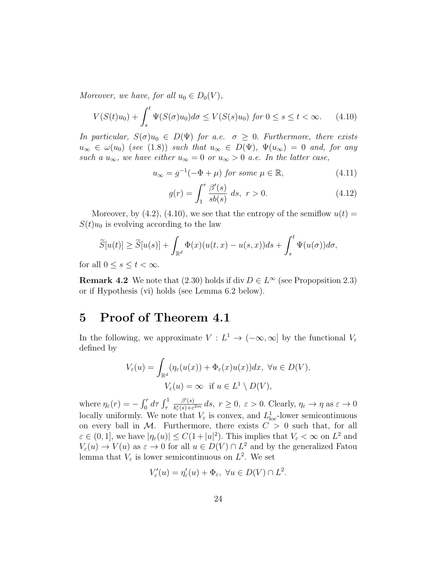Moreover, we have, for all  $u_0 \in D_0(V)$ ,

$$
V(S(t)u_0) + \int_s^t \Psi(S(\sigma)u_0)d\sigma \le V(S(s)u_0) \text{ for } 0 \le s \le t < \infty. \tag{4.10}
$$

In particular,  $S(\sigma)u_0 \in D(\Psi)$  for a.e.  $\sigma \geq 0$ . Furthermore, there exists  $u_{\infty} \in \omega(u_0)$  (see (1.8)) such that  $u_{\infty} \in D(\Psi)$ ,  $\Psi(u_{\infty}) = 0$  and, for any such a  $u_{\infty}$ , we have either  $u_{\infty} = 0$  or  $u_{\infty} > 0$  a.e. In the latter case,

$$
u_{\infty} = g^{-1}(-\Phi + \mu) \text{ for some } \mu \in \mathbb{R}, \tag{4.11}
$$

$$
g(r) = \int_{1}^{r} \frac{\beta'(s)}{sb(s)} ds, \ r > 0.
$$
 (4.12)

Moreover, by  $(4.2)$ ,  $(4.10)$ , we see that the entropy of the semiflow  $u(t) =$  $S(t)u_0$  is evolving according to the law

$$
\widetilde{S}[u(t)] \geq \widetilde{S}[u(s)] + \int_{\mathbb{R}^d} \Phi(x)(u(t,x) - u(s,x))ds + \int_s^t \Psi(u(\sigma))d\sigma,
$$

for all  $0 \leq s \leq t < \infty$ .

**Remark 4.2** We note that (2.30) holds if div  $D \in L^{\infty}$  (see Propopsition 2.3) or if Hypothesis (vi) holds (see Lemma 6.2 below).

## 5 Proof of Theorem 4.1

In the following, we approximate  $V: L^1 \to (-\infty, \infty]$  by the functional  $V_{\varepsilon}$ defined by

$$
V_{\varepsilon}(u) = \int_{\mathbb{R}^d} (\eta_{\varepsilon}(u(x)) + \Phi_{\varepsilon}(x)u(x))dx, \ \forall u \in D(V),
$$
  

$$
V_{\varepsilon}(u) = \infty \quad \text{if } u \in L^1 \setminus D(V),
$$

where  $\eta_{\varepsilon}(r) = -\int_0^r d\tau \int_{\tau}^1$  $\beta'(s)$  $\frac{\beta'(s)}{b^*_{\varepsilon}(s)+\varepsilon^{2m}}ds, r\geq 0, \varepsilon>0.$  Clearly,  $\eta_{\varepsilon}\to\eta$  as  $\varepsilon\to 0$ locally uniformly. We note that  $V_{\varepsilon}$  is convex, and  $L_{\text{loc}}^1$ -lower semicontinuous on every ball in  $M$ . Furthermore, there exists  $C > 0$  such that, for all  $\varepsilon \in (0,1],$  we have  $|\eta_{\varepsilon}(u)| \leq C(1+|u|^2)$ . This implies that  $V_{\varepsilon} < \infty$  on  $L^2$  and  $V_{\varepsilon}(u) \to V(u)$  as  $\varepsilon \to 0$  for all  $u \in D(V) \cap L^2$  and by the generalized Fatou lemma that  $V_{\varepsilon}$  is lower semicontinuous on  $L^2$ . We set

$$
V'_{\varepsilon}(u) = \eta'_{\varepsilon}(u) + \Phi_{\varepsilon}, \ \forall u \in D(V) \cap L^2.
$$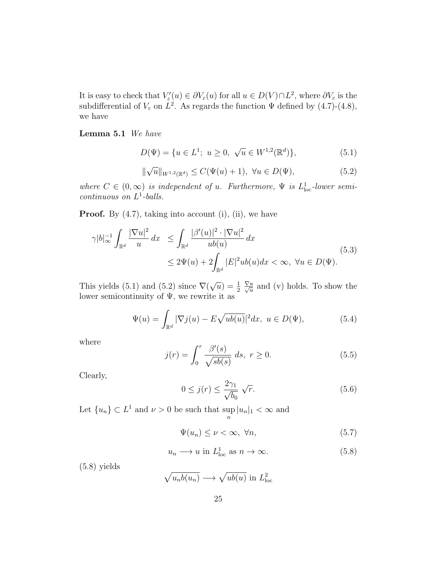It is easy to check that  $V'_{\varepsilon}(u) \in \partial V_{\varepsilon}(u)$  for all  $u \in D(V) \cap L^2$ , where  $\partial V_{\varepsilon}$  is the subdifferential of  $V_{\varepsilon}$  on  $L^2$ . As regards the function  $\Psi$  defined by (4.7)-(4.8), we have

Lemma 5.1 We have

$$
D(\Psi) = \{ u \in L^1; \ u \ge 0, \ \sqrt{u} \in W^{1,2}(\mathbb{R}^d) \},\tag{5.1}
$$

$$
\|\sqrt{u}\|_{W^{1,2}(\mathbb{R}^d)} \le C(\Psi(u) + 1), \ \forall u \in D(\Psi), \tag{5.2}
$$

where  $C \in (0, \infty)$  is independent of u. Furthermore,  $\Psi$  is  $L^1_{loc}$ -lower semi $continuous on L<sup>1</sup>-balls.$ 

**Proof.** By  $(4.7)$ , taking into account  $(i)$ ,  $(ii)$ , we have

$$
\gamma |b|_{\infty}^{-1} \int_{\mathbb{R}^d} \frac{|\nabla u|^2}{u} dx \le \int_{\mathbb{R}^d} \frac{|\beta'(u)|^2 \cdot |\nabla u|^2}{ub(u)} dx
$$
  

$$
\le 2\Psi(u) + 2 \int_{\mathbb{R}^d} |E|^2 ub(u) dx < \infty, \ \forall u \in D(\Psi).
$$
 (5.3)

This yields  $(5.1)$  and  $(5.2)$  since  $\nabla$  $\sqrt{u}$ ) =  $\frac{1}{2}$  $\frac{\nabla u}{\sqrt{u}}$  and (v) holds. To show the lower semicontinuity of  $\Psi$ , we rewrite it as

$$
\Psi(u) = \int_{\mathbb{R}^d} |\nabla j(u) - E\sqrt{ub(u)}|^2 dx, \ u \in D(\Psi), \tag{5.4}
$$

where

$$
j(r) = \int_0^r \frac{\beta'(s)}{\sqrt{s b(s)}} ds, \ r \ge 0.
$$
 (5.5)

Clearly,

$$
0 \le j(r) \le \frac{2\gamma_1}{\sqrt{b_0}} \sqrt{r}.\tag{5.6}
$$

Let  $\{u_n\} \subset L^1$  and  $\nu > 0$  be such that sup  $\sup_n |u_n|_1 < \infty$  and

$$
\Psi(u_n) \le \nu < \infty, \ \forall n,\tag{5.7}
$$

$$
u_n \longrightarrow u \text{ in } L^1_{\text{loc}} \text{ as } n \to \infty. \tag{5.8}
$$

(5.8) yields

 $\sqrt{u_n b(u_n)} \longrightarrow \sqrt{ub(u)}$  in  $L^2_{\text{loc}}$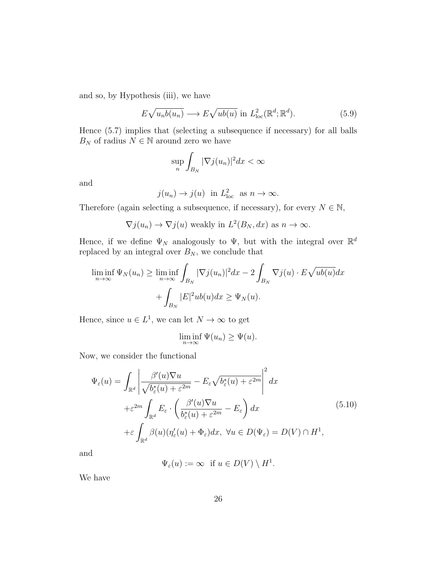and so, by Hypothesis (iii), we have

$$
E\sqrt{u_n b(u_n)} \longrightarrow E\sqrt{ub(u)} \text{ in } L^2_{\text{loc}}(\mathbb{R}^d; \mathbb{R}^d). \tag{5.9}
$$

Hence (5.7) implies that (selecting a subsequence if necessary) for all balls  $B_N$  of radius  $N \in \mathbb{N}$  around zero we have

$$
\sup_{n}\int_{B_N}|\nabla j(u_n)|^2dx < \infty
$$

and

$$
j(u_n) \to j(u)
$$
 in  $L^2_{loc}$  as  $n \to \infty$ .

Therefore (again selecting a subsequence, if necessary), for every  $N \in \mathbb{N}$ ,

$$
\nabla j(u_n) \to \nabla j(u)
$$
 weakly in  $L^2(B_N, dx)$  as  $n \to \infty$ .

Hence, if we define  $\Psi_N$  analogously to  $\Psi$ , but with the integral over  $\mathbb{R}^d$ replaced by an integral over  $B_N$ , we conclude that

$$
\liminf_{n \to \infty} \Psi_N(u_n) \ge \liminf_{n \to \infty} \int_{B_N} |\nabla j(u_n)|^2 dx - 2 \int_{B_N} \nabla j(u) \cdot E \sqrt{ub(u)} dx
$$

$$
+ \int_{B_N} |E|^2 ub(u) dx \ge \Psi_N(u).
$$

Hence, since  $u \in L^1$ , we can let  $N \to \infty$  to get

$$
\liminf_{n \to \infty} \Psi(u_n) \ge \Psi(u).
$$

Now, we consider the functional

$$
\Psi_{\varepsilon}(u) = \int_{\mathbb{R}^{d}} \left| \frac{\beta'(u)\nabla u}{\sqrt{b_{\varepsilon}^{*}(u) + \varepsilon^{2m}}} - E_{\varepsilon}\sqrt{b_{\varepsilon}^{*}(u) + \varepsilon^{2m}} \right|^{2} dx
$$
  
+
$$
\varepsilon^{2m} \int_{\mathbb{R}^{d}} E_{\varepsilon} \cdot \left( \frac{\beta'(u)\nabla u}{b_{\varepsilon}^{*}(u) + \varepsilon^{2m}} - E_{\varepsilon} \right) dx
$$
  
+
$$
\varepsilon \int_{\mathbb{R}^{d}} \beta(u)(\eta'_{\varepsilon}(u) + \Phi_{\varepsilon}) dx, \ \forall u \in D(\Psi_{\varepsilon}) = D(V) \cap H^{1},
$$
(5.10)

and

$$
\Psi_{\varepsilon}(u) := \infty \text{ if } u \in D(V) \setminus H^1.
$$

We have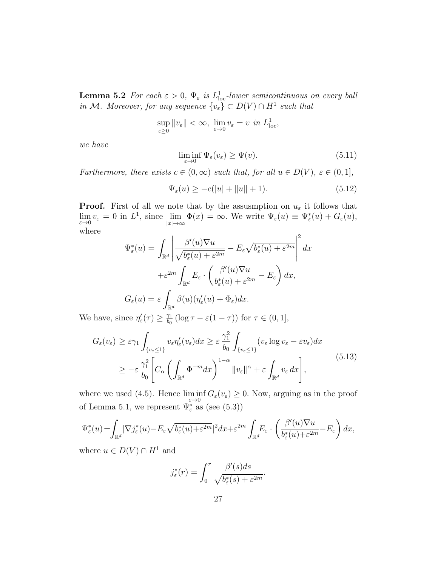**Lemma 5.2** For each  $\varepsilon > 0$ ,  $\Psi_{\varepsilon}$  is  $L^{1}_{loc}$ -lower semicontinuous on every ball in M. Moreover, for any sequence  $\{v_{\varepsilon}\} \subset D(V) \cap H^1$  such that

$$
\sup_{\varepsilon \ge 0} \|v_{\varepsilon}\| < \infty, \ \lim_{\varepsilon \to 0} v_{\varepsilon} = v \ \text{in } L^1_{\text{loc}},
$$

we have

$$
\liminf_{\varepsilon \to 0} \Psi_{\varepsilon}(v_{\varepsilon}) \ge \Psi(v). \tag{5.11}
$$

Furthermore, there exists  $c \in (0,\infty)$  such that, for all  $u \in D(V)$ ,  $\varepsilon \in (0,1]$ ,

$$
\Psi_{\varepsilon}(u) \ge -c(|u| + \|u\| + 1). \tag{5.12}
$$

**Proof.** First of all we note that by the assus mption on  $u_{\varepsilon}$  it follows that  $\lim_{\varepsilon \to 0} v_{\varepsilon} = 0$  in  $L^1$ , since  $\lim_{|x| \to \infty} \Phi(x) = \infty$ . We write  $\Psi_{\varepsilon}(u) \equiv \Psi_{\varepsilon}^*(u) + G_{\varepsilon}(u)$ , where  $\overline{2}$ 

$$
\Psi_{\varepsilon}^{*}(u) = \int_{\mathbb{R}^{d}} \left| \frac{\beta'(u)\nabla u}{\sqrt{b_{\varepsilon}^{*}(u) + \varepsilon^{2m}}} - E_{\varepsilon}\sqrt{b_{\varepsilon}^{*}(u) + \varepsilon^{2m}} \right|^{2} dx
$$

$$
+ \varepsilon^{2m} \int_{\mathbb{R}^{d}} E_{\varepsilon} \cdot \left( \frac{\beta'(u)\nabla u}{b_{\varepsilon}^{*}(u) + \varepsilon^{2m}} - E_{\varepsilon} \right) dx,
$$

$$
G_{\varepsilon}(u) = \varepsilon \int_{\mathbb{R}^{d}} \beta(u)(\eta_{\varepsilon}'(u) + \Phi_{\varepsilon}) dx.
$$

We have, since  $\eta'_{\varepsilon}(\tau) \geq \frac{\gamma_1}{b_0}$  $\frac{\gamma_1}{b_0}$  (log  $\tau - \varepsilon(1-\tau)$ ) for  $\tau \in (0,1],$ 

$$
G_{\varepsilon}(v_{\varepsilon}) \geq \varepsilon \gamma_{1} \int_{\{v_{\varepsilon} \leq 1\}} v_{\varepsilon} \eta_{\varepsilon}'(v_{\varepsilon}) dx \geq \varepsilon \frac{\gamma_{1}^{2}}{b_{0}} \int_{\{v_{\varepsilon} \leq 1\}} (v_{\varepsilon} \log v_{\varepsilon} - \varepsilon v_{\varepsilon}) dx
$$
  
 
$$
\geq -\varepsilon \frac{\gamma_{1}^{2}}{b_{0}} \left[ C_{\alpha} \left( \int_{\mathbb{R}^{d}} \Phi^{-m} dx \right)^{1-\alpha} ||v_{\varepsilon}||^{\alpha} + \varepsilon \int_{\mathbb{R}^{d}} v_{\varepsilon} dx \right],
$$
 (5.13)

where we used (4.5). Hence  $\liminf_{\varepsilon \to 0} G_{\varepsilon}(v_{\varepsilon}) \ge 0$ . Now, arguing as in the proof of Lemma 5.1, we represent  $\Psi_{\varepsilon}^*$  as (see (5.3))

$$
\Psi_{\varepsilon}^*(u) = \int_{\mathbb{R}^d} |\nabla j_{\varepsilon}^*(u) - E_{\varepsilon} \sqrt{b_{\varepsilon}^*(u) + \varepsilon^{2m}}|^2 dx + \varepsilon^{2m} \int_{\mathbb{R}^d} E_{\varepsilon} \cdot \left( \frac{\beta'(u)\nabla u}{b_{\varepsilon}^*(u) + \varepsilon^{2m}} - E_{\varepsilon} \right) dx,
$$

where  $u \in D(V) \cap H^1$  and

$$
j_{\varepsilon}^*(r) = \int_0^r \frac{\beta'(s)ds}{\sqrt{b_{\varepsilon}^*(s) + \varepsilon^{2m}}}.
$$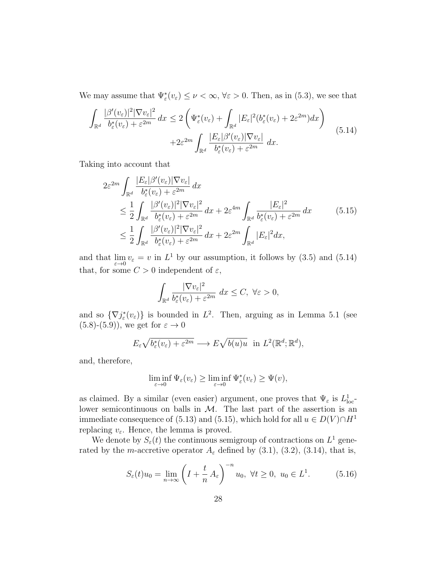We may assume that  $\Psi_{\varepsilon}^*(v_{\varepsilon}) \leq \nu < \infty$ ,  $\forall \varepsilon > 0$ . Then, as in (5.3), we see that

$$
\int_{\mathbb{R}^d} \frac{|\beta'(v_{\varepsilon})|^2 |\nabla v_{\varepsilon}|^2}{b_{\varepsilon}^*(v_{\varepsilon}) + \varepsilon^{2m}} dx \le 2 \left( \Psi_{\varepsilon}^*(v_{\varepsilon}) + \int_{\mathbb{R}^d} |E_{\varepsilon}|^2 (b_{\varepsilon}^*(v_{\varepsilon}) + 2\varepsilon^{2m}) dx \right) + 2\varepsilon^{2m} \int_{\mathbb{R}^d} \frac{|E_{\varepsilon}| \beta'(v_{\varepsilon}) |\nabla v_{\varepsilon}|}{b_{\varepsilon}^*(v_{\varepsilon}) + \varepsilon^{2m}} dx.
$$
\n(5.14)

Taking into account that

$$
2\varepsilon^{2m} \int_{\mathbb{R}^d} \frac{|E_{\varepsilon}| \beta'(v_{\varepsilon}) |\nabla v_{\varepsilon}|}{b_{\varepsilon}^*(v_{\varepsilon}) + \varepsilon^{2m}} dx
$$
  
\n
$$
\leq \frac{1}{2} \int_{\mathbb{R}^d} \frac{|\beta'(v_{\varepsilon})|^2 |\nabla v_{\varepsilon}|^2}{b_{\varepsilon}^*(v_{\varepsilon}) + \varepsilon^{2m}} dx + 2\varepsilon^{4m} \int_{\mathbb{R}^d} \frac{|E_{\varepsilon}|^2}{b_{\varepsilon}^*(v_{\varepsilon}) + \varepsilon^{2m}} dx
$$
(5.15)  
\n
$$
\leq \frac{1}{2} \int_{\mathbb{R}^d} \frac{|\beta'(v_{\varepsilon})|^2 |\nabla v_{\varepsilon}|^2}{b_{\varepsilon}^*(v_{\varepsilon}) + \varepsilon^{2m}} dx + 2\varepsilon^{2m} \int_{\mathbb{R}^d} |E_{\varepsilon}|^2 dx,
$$

and that  $\lim_{\varepsilon \to 0} v_{\varepsilon} = v$  in  $L^1$  by our assumption, it follows by (3.5) and (5.14) that, for some  $C > 0$  independent of  $\varepsilon$ ,

$$
\int_{\mathbb{R}^d} \frac{|\nabla v_{\varepsilon}|^2}{b_{\varepsilon}^*(v_{\varepsilon}) + \varepsilon^{2m}} dx \le C, \ \forall \varepsilon > 0,
$$

and so  $\{\nabla j^*_{\varepsilon}(v_{\varepsilon})\}\)$  is bounded in  $L^2$ . Then, arguing as in Lemma 5.1 (see  $(5.8)-(5.9)$ , we get for  $\varepsilon \to 0$ 

$$
E_{\varepsilon} \sqrt{b_{\varepsilon}^*(v_{\varepsilon}) + \varepsilon^{2m}} \longrightarrow E \sqrt{b(u)u} \text{ in } L^2(\mathbb{R}^d; \mathbb{R}^d),
$$

and, therefore,

$$
\liminf_{\varepsilon \to 0} \Psi_{\varepsilon}(v_{\varepsilon}) \ge \liminf_{\varepsilon \to 0} \Psi_{\varepsilon}^*(v_{\varepsilon}) \ge \Psi(v),
$$

as claimed. By a similar (even easier) argument, one proves that  $\Psi_{\varepsilon}$  is  $L^{1}_{loc}$ lower semicontinuous on balls in  $M$ . The last part of the assertion is an immediate consequence of (5.13) and (5.15), which hold for all  $u \in D(V) \cap H^1$ replacing  $v_{\varepsilon}$ . Hence, the lemma is proved.

We denote by  $S_{\varepsilon}(t)$  the continuous semigroup of contractions on  $L^1$  generated by the m-accretive operator  $A_{\varepsilon}$  defined by (3.1), (3.2), (3.14), that is,

$$
S_{\varepsilon}(t)u_0 = \lim_{n \to \infty} \left( I + \frac{t}{n} A_{\varepsilon} \right)^{-n} u_0, \ \forall t \ge 0, \ u_0 \in L^1.
$$
 (5.16)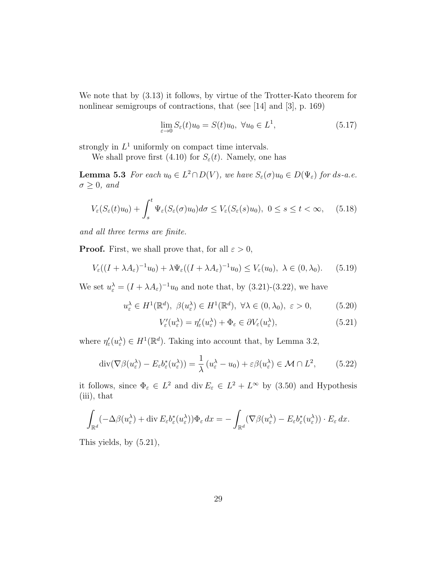We note that by (3.13) it follows, by virtue of the Trotter-Kato theorem for nonlinear semigroups of contractions, that (see [14] and [3], p. 169)

$$
\lim_{\varepsilon \to 0} S_{\varepsilon}(t)u_0 = S(t)u_0, \ \forall u_0 \in L^1,
$$
\n(5.17)

strongly in  $L^1$  uniformly on compact time intervals.

We shall prove first (4.10) for  $S_{\varepsilon}(t)$ . Namely, one has

**Lemma 5.3** For each  $u_0 \in L^2 \cap D(V)$ , we have  $S_\varepsilon(\sigma)u_0 \in D(\Psi_\varepsilon)$  for ds-a.e.  $\sigma \geq 0$ , and

$$
V_{\varepsilon}(S_{\varepsilon}(t)u_0) + \int_s^t \Psi_{\varepsilon}(S_{\varepsilon}(\sigma)u_0)d\sigma \le V_{\varepsilon}(S_{\varepsilon}(s)u_0), \ 0 \le s \le t < \infty, \quad (5.18)
$$

and all three terms are finite.

**Proof.** First, we shall prove that, for all  $\varepsilon > 0$ ,

$$
V_{\varepsilon}((I+\lambda A_{\varepsilon})^{-1}u_0)+\lambda \Psi_{\varepsilon}((I+\lambda A_{\varepsilon})^{-1}u_0)\leq V_{\varepsilon}(u_0),\ \lambda\in(0,\lambda_0). \tag{5.19}
$$

We set  $u_{\varepsilon}^{\lambda} = (I + \lambda A_{\varepsilon})^{-1}u_0$  and note that, by (3.21)-(3.22), we have

$$
u_{\varepsilon}^{\lambda} \in H^{1}(\mathbb{R}^{d}), \ \beta(u_{\varepsilon}^{\lambda}) \in H^{1}(\mathbb{R}^{d}), \ \forall \lambda \in (0, \lambda_{0}), \ \varepsilon > 0, \tag{5.20}
$$

$$
V'_{\varepsilon}(u_{\varepsilon}^{\lambda}) = \eta'_{\varepsilon}(u_{\varepsilon}^{\lambda}) + \Phi_{\varepsilon} \in \partial V_{\varepsilon}(u_{\varepsilon}^{\lambda}), \tag{5.21}
$$

where  $\eta_{\varepsilon}'(u_{\varepsilon}^{\lambda}) \in H^{1}(\mathbb{R}^{d})$ . Taking into account that, by Lemma 3.2,

$$
\operatorname{div}(\nabla \beta(u_{\varepsilon}^{\lambda}) - E_{\varepsilon} b_{\varepsilon}^*(u_{\varepsilon}^{\lambda})) = \frac{1}{\lambda} (u_{\varepsilon}^{\lambda} - u_0) + \varepsilon \beta(u_{\varepsilon}^{\lambda}) \in \mathcal{M} \cap L^2, \qquad (5.22)
$$

it follows, since  $\Phi_{\varepsilon} \in L^2$  and div  $E_{\varepsilon} \in L^2 + L^{\infty}$  by (3.50) and Hypothesis (iii), that

$$
\int_{\mathbb{R}^d} (-\Delta \beta(u_{\varepsilon}^{\lambda}) + \operatorname{div} E_{\varepsilon} b_{\varepsilon}^*(u_{\varepsilon}^{\lambda})) \Phi_{\varepsilon} dx = - \int_{\mathbb{R}^d} (\nabla \beta(u_{\varepsilon}^{\lambda}) - E_{\varepsilon} b_{\varepsilon}^*(u_{\varepsilon}^{\lambda})) \cdot E_{\varepsilon} dx.
$$

This yields, by (5.21),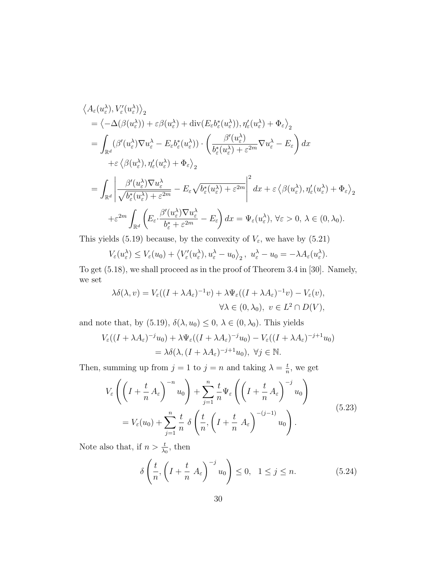$$
\langle A_{\varepsilon}(u_{\varepsilon}^{\lambda}), V_{\varepsilon}'(u_{\varepsilon}^{\lambda}) \rangle_{2}
$$
\n
$$
= \langle -\Delta(\beta(u_{\varepsilon}^{\lambda})) + \varepsilon \beta(u_{\varepsilon}^{\lambda}) + \text{div}(E_{\varepsilon}b_{\varepsilon}^{*}(u_{\varepsilon}^{\lambda})), \eta_{\varepsilon}'(u_{\varepsilon}^{\lambda}) + \Phi_{\varepsilon} \rangle_{2}
$$
\n
$$
= \int_{\mathbb{R}^{d}} (\beta'(u_{\varepsilon}^{\lambda}) \nabla u_{\varepsilon}^{\lambda} - E_{\varepsilon}b_{\varepsilon}^{*}(u_{\varepsilon}^{\lambda})) \cdot \left( \frac{\beta'(u_{\varepsilon}^{\lambda})}{b_{\varepsilon}^{*}(u_{\varepsilon}^{\lambda}) + \varepsilon^{2m}} \nabla u_{\varepsilon}^{\lambda} - E_{\varepsilon} \right) dx
$$
\n
$$
+ \varepsilon \langle \beta(u_{\varepsilon}^{\lambda}), \eta_{\varepsilon}'(u_{\varepsilon}^{\lambda}) + \Phi_{\varepsilon} \rangle_{2}
$$
\n
$$
= \int_{\mathbb{R}^{d}} \left| \frac{\beta'(u_{\varepsilon}^{\lambda}) \nabla u_{\varepsilon}^{\lambda}}{\sqrt{b_{\varepsilon}^{*}(u_{\varepsilon}^{\lambda}) + \varepsilon^{2m}}} - E_{\varepsilon} \sqrt{b_{\varepsilon}^{*}(u_{\varepsilon}^{\lambda}) + \varepsilon^{2m}} \right|^{2} dx + \varepsilon \langle \beta(u_{\varepsilon}^{\lambda}), \eta_{\varepsilon}'(u_{\varepsilon}^{\lambda}) + \Phi_{\varepsilon} \rangle_{2}
$$
\n
$$
+ \varepsilon^{2m} \int_{\mathbb{R}^{d}} \left( E_{\varepsilon} \cdot \frac{\beta'(u_{\varepsilon}^{\lambda}) \nabla u_{\varepsilon}^{\lambda}}{b_{\varepsilon}^{*} + \varepsilon^{2m}} - E_{\varepsilon} \right) dx = \Psi_{\varepsilon}(u_{\varepsilon}^{\lambda}), \forall \varepsilon > 0, \lambda \in (0, \lambda_{0}).
$$

This yields (5.19) because, by the convexity of  $V_{\varepsilon}$ , we have by (5.21)

$$
V_{\varepsilon}(u_{\varepsilon}^{\lambda}) \leq V_{\varepsilon}(u_0) + \left\langle V_{\varepsilon}'(u_{\varepsilon}^{\lambda}), u_{\varepsilon}^{\lambda} - u_0 \right\rangle_2, \ u_{\varepsilon}^{\lambda} - u_0 = -\lambda A_{\varepsilon}(u_{\varepsilon}^{\lambda}).
$$

To get (5.18), we shall proceed as in the proof of Theorem 3.4 in [30]. Namely, we set

$$
\lambda \delta(\lambda, v) = V_{\varepsilon}((I + \lambda A_{\varepsilon})^{-1}v) + \lambda \Psi_{\varepsilon}((I + \lambda A_{\varepsilon})^{-1}v) - V_{\varepsilon}(v),
$$
  

$$
\forall \lambda \in (0, \lambda_0), v \in L^2 \cap D(V),
$$

and note that, by (5.19),  $\delta(\lambda, u_0) \leq 0, \lambda \in (0, \lambda_0)$ . This yields

$$
V_{\varepsilon}((I+\lambda A_{\varepsilon})^{-j}u_0) + \lambda \Psi_{\varepsilon}((I+\lambda A_{\varepsilon})^{-j}u_0) - V_{\varepsilon}((I+\lambda A_{\varepsilon})^{-j+1}u_0)
$$
  
=  $\lambda \delta(\lambda, (I+\lambda A_{\varepsilon})^{-j+1}u_0), \ \forall j \in \mathbb{N}.$ 

Then, summing up from  $j = 1$  to  $j = n$  and taking  $\lambda = \frac{t}{n}$  $\frac{t}{n}$ , we get

$$
V_{\varepsilon}\left(\left(I + \frac{t}{n} A_{\varepsilon}\right)^{-n} u_0\right) + \sum_{j=1}^{n} \frac{t}{n} \Psi_{\varepsilon}\left(\left(I + \frac{t}{n} A_{\varepsilon}\right)^{-j} u_0\right)
$$
  
=  $V_{\varepsilon}(u_0) + \sum_{j=1}^{n} \frac{t}{n} \delta\left(\frac{t}{n}, \left(I + \frac{t}{n} A_{\varepsilon}\right)^{-(j-1)} u_0\right).$  (5.23)

Note also that, if  $n > \frac{t}{\lambda_0}$ , then

$$
\delta\left(\frac{t}{n}, \left(I + \frac{t}{n} A_{\varepsilon}\right)^{-j} u_0\right) \le 0, \quad 1 \le j \le n. \tag{5.24}
$$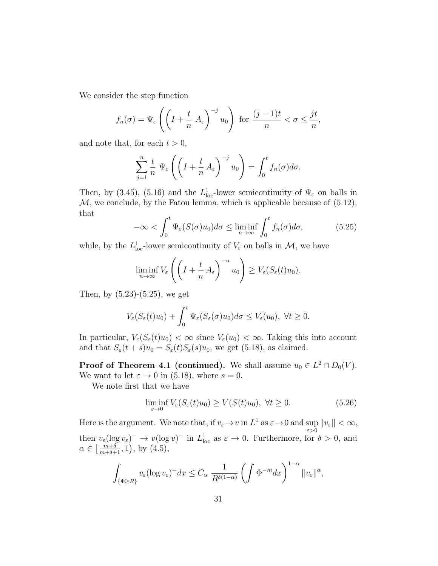We consider the step function

$$
f_n(\sigma) = \Psi_{\varepsilon} \left( \left( I + \frac{t}{n} A_{\varepsilon} \right)^{-j} u_0 \right) \text{ for } \frac{(j-1)t}{n} < \sigma \leq \frac{jt}{n},
$$

and note that, for each  $t > 0$ ,

$$
\sum_{j=1}^n \frac{t}{n} \Psi_{\varepsilon} \left( \left( I + \frac{t}{n} A_{\varepsilon} \right)^{-j} u_0 \right) = \int_0^t f_n(\sigma) d\sigma.
$$

Then, by (3.45), (5.16) and the  $L^1_{loc}$ -lower semicontinuity of  $\Psi_{\varepsilon}$  on balls in  $M$ , we conclude, by the Fatou lemma, which is applicable because of  $(5.12)$ , that

$$
-\infty < \int_0^t \Psi_{\varepsilon}(S(\sigma)u_0)d\sigma \le \liminf_{n \to \infty} \int_0^t f_n(\sigma)d\sigma,\tag{5.25}
$$

while, by the  $L^1_{loc}$ -lower semicontinuity of  $V_{\varepsilon}$  on balls in  $\mathcal{M}$ , we have

$$
\liminf_{n \to \infty} V_{\varepsilon} \left( \left( I + \frac{t}{n} A_{\varepsilon} \right)^{-n} u_0 \right) \geq V_{\varepsilon} (S_{\varepsilon}(t) u_0).
$$

Then, by  $(5.23)-(5.25)$ , we get

$$
V_{\varepsilon}(S_{\varepsilon}(t)u_0)+\int_0^t \Psi_{\varepsilon}(S_{\varepsilon}(\sigma)u_0)d\sigma \leq V_{\varepsilon}(u_0), \ \forall t \geq 0.
$$

In particular,  $V_{\varepsilon}(S_{\varepsilon}(t)u_0) < \infty$  since  $V_{\varepsilon}(u_0) < \infty$ . Taking this into account and that  $S_{\varepsilon}(t+s)u_0 = S_{\varepsilon}(t)S_{\varepsilon}(s)u_0$ , we get (5.18), as claimed.

**Proof of Theorem 4.1 (continued).** We shall assume  $u_0 \in L^2 \cap D_0(V)$ . We want to let  $\varepsilon \to 0$  in (5.18), where  $s = 0$ .

We note first that we have

$$
\liminf_{\varepsilon \to 0} V_{\varepsilon}(S_{\varepsilon}(t)u_0) \ge V(S(t)u_0), \ \forall t \ge 0.
$$
\n(5.26)

Here is the argument. We note that, if  $v_{\varepsilon} \to v$  in  $L^1$  as  $\varepsilon \to 0$  and sup  $||v_{\varepsilon}|| < \infty$ , ε>0 then  $v_{\varepsilon}(\log v_{\varepsilon})^{-} \to v(\log v)^{-}$  in  $L^{1}_{\text{loc}}$  as  $\varepsilon \to 0$ . Furthermore, for  $\delta > 0$ , and  $\alpha \in \left[\frac{m+\delta}{m+\delta+1}, 1\right)$ , by  $(4.5)$ ,

$$
\int_{\{\Phi\geq R\}} v_{\varepsilon} (\log v_{\varepsilon})^{-} dx \leq C_{\alpha} \frac{1}{R^{\delta(1-\alpha)}} \left( \int \Phi^{-m} dx \right)^{1-\alpha} \|v_{\varepsilon}\|^{\alpha},
$$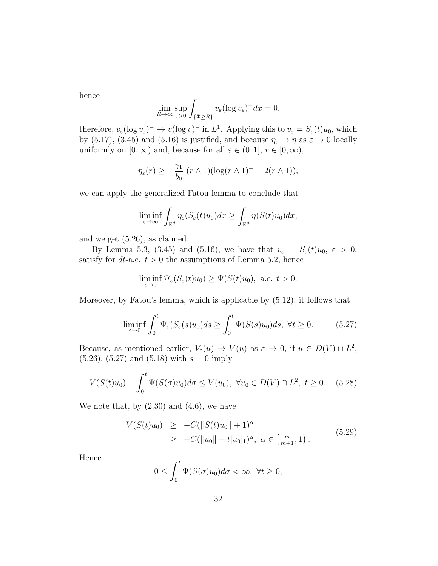hence

$$
\lim_{R \to \infty} \sup_{\varepsilon > 0} \int_{\{\Phi \ge R\}} v_{\varepsilon} (\log v_{\varepsilon})^{-} dx = 0,
$$

therefore,  $v_{\varepsilon}(\log v_{\varepsilon})^{-} \to v(\log v)^{-}$  in  $L^{1}$ . Applying this to  $v_{\varepsilon} = S_{\varepsilon}(t)u_{0}$ , which by (5.17), (3.45) and (5.16) is justified, and because  $\eta_{\varepsilon} \to \eta$  as  $\varepsilon \to 0$  locally uniformly on  $[0, \infty)$  and, because for all  $\varepsilon \in (0, 1], r \in [0, \infty)$ ,

$$
\eta_{\varepsilon}(r) \geq -\frac{\gamma_1}{b_0} \left( r \wedge 1 \right) \left( \log(r \wedge 1)^{-} - 2(r \wedge 1) \right),
$$

we can apply the generalized Fatou lemma to conclude that

$$
\liminf_{\varepsilon \to \infty} \int_{\mathbb{R}^d} \eta_{\varepsilon}(S_{\varepsilon}(t)u_0) dx \ge \int_{\mathbb{R}^d} \eta(S(t)u_0) dx,
$$

and we get (5.26), as claimed.

By Lemma 5.3, (3.45) and (5.16), we have that  $v_{\varepsilon} = S_{\varepsilon}(t)u_0, \varepsilon > 0$ , satisfy for *dt*-a.e.  $t > 0$  the assumptions of Lemma 5.2, hence

$$
\liminf_{\varepsilon \to 0} \Psi_{\varepsilon}(S_{\varepsilon}(t)u_0) \ge \Psi(S(t)u_0), \text{ a.e. } t > 0.
$$

Moreover, by Fatou's lemma, which is applicable by (5.12), it follows that

$$
\liminf_{\varepsilon \to 0} \int_0^t \Psi_{\varepsilon}(S_{\varepsilon}(s)u_0)ds \ge \int_0^t \Psi(S(s)u_0)ds, \ \forall t \ge 0. \tag{5.27}
$$

Because, as mentioned earlier,  $V_{\varepsilon}(u) \to V(u)$  as  $\varepsilon \to 0$ , if  $u \in D(V) \cap L^2$ ,  $(5.26), (5.27)$  and  $(5.18)$  with  $s = 0$  imply

$$
V(S(t)u_0) + \int_0^t \Psi(S(\sigma)u_0)d\sigma \le V(u_0), \ \forall u_0 \in D(V) \cap L^2, \ t \ge 0. \tag{5.28}
$$

We note that, by  $(2.30)$  and  $(4.6)$ , we have

$$
V(S(t)u_0) \geq -C(||S(t)u_0|| + 1)^{\alpha}
$$
  
 
$$
\geq -C(||u_0|| + t|u_0|_1)^{\alpha}, \ \alpha \in \left[\frac{m}{m+1}, 1\right). \tag{5.29}
$$

Hence

$$
0 \le \int_0^t \Psi(S(\sigma)u_0)d\sigma < \infty, \ \forall t \ge 0,
$$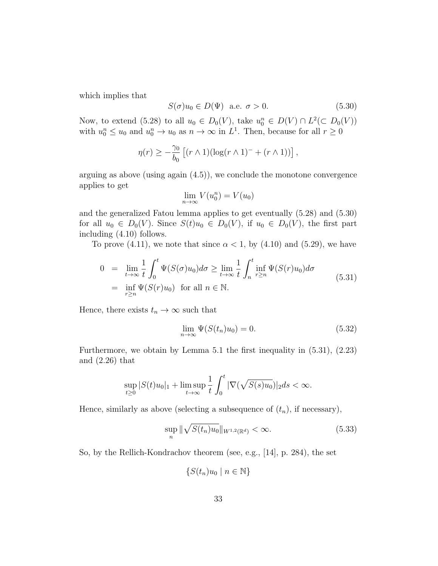which implies that

$$
S(\sigma)u_0 \in D(\Psi) \quad \text{a.e.} \quad \sigma > 0. \tag{5.30}
$$

Now, to extend (5.28) to all  $u_0 \in D_0(V)$ , take  $u_0^n \in D(V) \cap L^2(\subset D_0(V))$ with  $u_0^n \le u_0$  and  $u_0^n \to u_0$  as  $n \to \infty$  in  $L^1$ . Then, because for all  $r \ge 0$ 

$$
\eta(r) \geq -\frac{\gamma_0}{b_0} \left[ (r \wedge 1) (\log(r \wedge 1)^{-} + (r \wedge 1)) \right],
$$

arguing as above (using again  $(4.5)$ ), we conclude the monotone convergence applies to get

$$
\lim_{n \to \infty} V(u_0^n) = V(u_0)
$$

and the generalized Fatou lemma applies to get eventually (5.28) and (5.30) for all  $u_0 \in D_0(V)$ . Since  $S(t)u_0 \in D_0(V)$ , if  $u_0 \in D_0(V)$ , the first part including (4.10) follows.

To prove (4.11), we note that since  $\alpha < 1$ , by (4.10) and (5.29), we have

$$
0 = \lim_{t \to \infty} \frac{1}{t} \int_0^t \Psi(S(\sigma)u_0) d\sigma \ge \lim_{t \to \infty} \frac{1}{t} \int_n^t \inf_{r \ge n} \Psi(S(r)u_0) d\sigma
$$
  
= 
$$
\inf_{r \ge n} \Psi(S(r)u_0) \text{ for all } n \in \mathbb{N}.
$$
 (5.31)

Hence, there exists  $t_n \to \infty$  such that

$$
\lim_{n \to \infty} \Psi(S(t_n)u_0) = 0. \tag{5.32}
$$

Furthermore, we obtain by Lemma 5.1 the first inequality in (5.31), (2.23) and (2.26) that

$$
\sup_{t\geq 0} |S(t)u_0|_1 + \limsup_{t\to\infty} \frac{1}{t} \int_0^t |\nabla(\sqrt{S(s)u_0})|_2 ds < \infty.
$$

Hence, similarly as above (selecting a subsequence of  $(t_n)$ , if necessary),

$$
\sup_{n} \|\sqrt{S(t_n)u_0}\|_{W^{1,2}(\mathbb{R}^d)} < \infty.
$$
 (5.33)

So, by the Rellich-Kondrachov theorem (see, e.g., [14], p. 284), the set

$$
\{S(t_n)u_0 \mid n \in \mathbb{N}\}
$$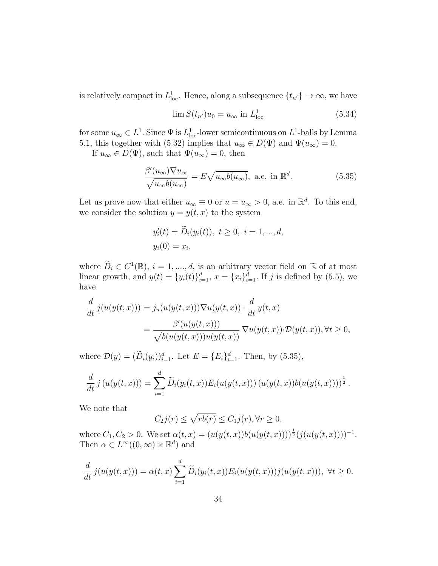is relatively compact in  $L^1_{loc}$ . Hence, along a subsequence  $\{t_{n'}\} \to \infty$ , we have

$$
\lim S(t_{n'})u_0 = u_{\infty} \text{ in } L^1_{\text{loc}} \tag{5.34}
$$

for some  $u_{\infty} \in L^1$ . Since  $\Psi$  is  $L^1_{\text{loc}}$ -lower semicontinuous on  $L^1$ -balls by Lemma 5.1, this together with (5.32) implies that  $u_{\infty} \in D(\Psi)$  and  $\Psi(u_{\infty}) = 0$ .

If  $u_{\infty} \in D(\Psi)$ , such that  $\Psi(u_{\infty}) = 0$ , then

$$
\frac{\beta'(u_{\infty})\nabla u_{\infty}}{\sqrt{u_{\infty}b(u_{\infty})}} = E\sqrt{u_{\infty}b(u_{\infty})}, \text{ a.e. in } \mathbb{R}^d.
$$
 (5.35)

Let us prove now that either  $u_{\infty} \equiv 0$  or  $u = u_{\infty} > 0$ , a.e. in  $\mathbb{R}^d$ . To this end, we consider the solution  $y = y(t, x)$  to the system

$$
y'_{i}(t) = \widetilde{D}_{i}(y_{i}(t)), t \ge 0, i = 1, ..., d,
$$
  
 $y_{i}(0) = x_{i},$ 

where  $\widetilde{D}_i \in C^1(\mathbb{R}), i = 1, ..., d$ , is an arbitrary vector field on  $\mathbb{R}$  of at most linear growth, and  $y(t) = \{y_i(t)\}_{i=1}^d$ ,  $x = \{x_i\}_{i=1}^d$ . If j is defined by (5.5), we have

$$
\frac{d}{dt}j(u(y(t,x))) = j_u(u(y(t,x)))\nabla u(y(t,x)) \cdot \frac{d}{dt} y(t,x)
$$
\n
$$
= \frac{\beta'(u(y(t,x)))}{\sqrt{b(u(y(t,x)))u(y(t,x))}} \nabla u(y(t,x)) \cdot \mathcal{D}(y(t,x)), \forall t \ge 0,
$$

where  $\mathcal{D}(y) = (\tilde{D}_i(y_i))_{i=1}^d$ . Let  $E = \{E_i\}_{i=1}^d$ . Then, by (5.35),

$$
\frac{d}{dt}j(u(y(t,x))) = \sum_{i=1}^d \widetilde{D}_i(y_i(t,x))E_i(u(y(t,x))) (u(y(t,x))b(u(y(t,x))))^{\frac{1}{2}}.
$$

We note that

$$
C_2j(r) \le \sqrt{rb(r)} \le C_1j(r), \forall r \ge 0,
$$

where  $C_1, C_2 > 0$ . We set  $\alpha(t, x) = (u(y(t, x))b(u(y(t, x))))^{\frac{1}{2}}(j(u(y(t, x))))^{-1}$ . Then  $\alpha \in L^{\infty}((0,\infty) \times \mathbb{R}^d)$  and

$$
\frac{d}{dt}j(u(y(t,x))) = \alpha(t,x)\sum_{i=1}^d \widetilde{D}_i(y_i(t,x))E_i(u(y(t,x)))j(u(y(t,x))), \ \forall t \geq 0.
$$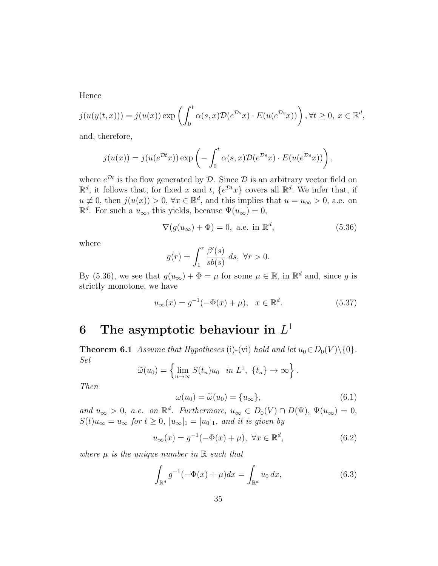Hence

$$
j(u(y(t,x))) = j(u(x)) \exp\left(\int_0^t \alpha(s,x) \mathcal{D}(e^{\mathcal{D}s}x) \cdot E(u(e^{\mathcal{D}s}x))\right), \forall t \ge 0, x \in \mathbb{R}^d,
$$

and, therefore,

$$
j(u(x)) = j(u(e^{\mathcal{D}t}x)) \exp\left(-\int_0^t \alpha(s,x) \mathcal{D}(e^{\mathcal{D}s}x) \cdot E(u(e^{\mathcal{D}s}x))\right),
$$

where  $e^{\mathcal{D}t}$  is the flow generated by  $\mathcal{D}$ . Since  $\mathcal{D}$  is an arbitrary vector field on  $\mathbb{R}^d$ , it follows that, for fixed x and t,  $\{e^{\mathcal{D}t}x\}$  covers all  $\mathbb{R}^d$ . We infer that, if  $u \neq 0$ , then  $j(u(x)) > 0$ ,  $\forall x \in \mathbb{R}^d$ , and this implies that  $u = u_\infty > 0$ , a.e. on  $\mathbb{R}^d$ . For such a  $u_{\infty}$ , this yields, because  $\Psi(u_{\infty})=0$ ,

$$
\nabla(g(u_{\infty}) + \Phi) = 0, \text{ a.e. in } \mathbb{R}^d,
$$
\n(5.36)

where

$$
g(r) = \int_1^r \frac{\beta'(s)}{sb(s)} ds, \ \forall r > 0.
$$

By (5.36), we see that  $g(u_{\infty}) + \Phi = \mu$  for some  $\mu \in \mathbb{R}$ , in  $\mathbb{R}^d$  and, since g is strictly monotone, we have

$$
u_{\infty}(x) = g^{-1}(-\Phi(x) + \mu), \quad x \in \mathbb{R}^d.
$$
 (5.37)

# 6 The asymptotic behaviour in  $L^1$

**Theorem 6.1** Assume that Hypotheses (i)-(vi) hold and let  $u_0 \in D_0(V) \setminus \{0\}$ . Set

$$
\widetilde{\omega}(u_0) = \left\{ \lim_{n \to \infty} S(t_n) u_0 \text{ in } L^1, \ \{t_n\} \to \infty \right\}.
$$

Then

$$
\omega(u_0) = \widetilde{\omega}(u_0) = \{u_{\infty}\},\tag{6.1}
$$

and  $u_{\infty} > 0$ , a.e. on  $\mathbb{R}^d$ . Furthermore,  $u_{\infty} \in D_0(V) \cap D(\Psi)$ ,  $\Psi(u_{\infty}) = 0$ ,  $S(t)u_{\infty} = u_{\infty}$  for  $t \geq 0$ ,  $|u_{\infty}|_1 = |u_0|_1$ , and it is given by

$$
u_{\infty}(x) = g^{-1}(-\Phi(x) + \mu), \ \forall x \in \mathbb{R}^d,
$$
\n(6.2)

where  $\mu$  is the unique number in  $\mathbb R$  such that

$$
\int_{\mathbb{R}^d} g^{-1}(-\Phi(x) + \mu)dx = \int_{\mathbb{R}^d} u_0 dx,
$$
\n(6.3)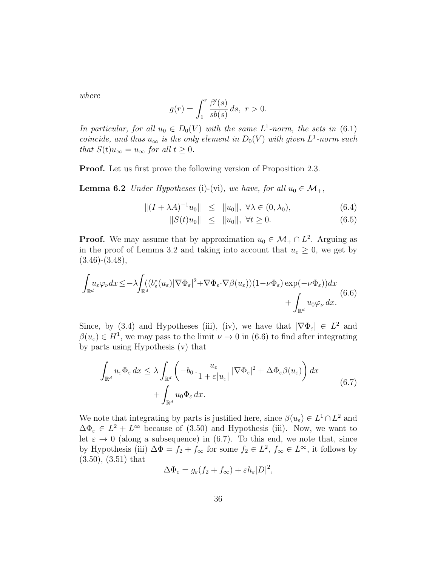where

$$
g(r) = \int_1^r \frac{\beta'(s)}{sb(s)} ds, \ r > 0.
$$

In particular, for all  $u_0 \in D_0(V)$  with the same  $L^1$ -norm, the sets in (6.1) coincide, and thus  $u_{\infty}$  is the only element in  $D_0(V)$  with given  $L^1$ -norm such that  $S(t)u_{\infty} = u_{\infty}$  for all  $t \geq 0$ .

Proof. Let us first prove the following version of Proposition 2.3.

**Lemma 6.2** Under Hypotheses (i)-(vi), we have, for all  $u_0 \in \mathcal{M}_+$ ,

$$
||(I + \lambda A)^{-1}u_0|| \le ||u_0||, \forall \lambda \in (0, \lambda_0), \tag{6.4}
$$

$$
||S(t)u_0|| \le ||u_0||, \ \forall t \ge 0. \tag{6.5}
$$

**Proof.** We may assume that by approximation  $u_0 \in \mathcal{M}_+ \cap L^2$ . Arguing as in the proof of Lemma 3.2 and taking into account that  $u_{\varepsilon} \geq 0$ , we get by  $(3.46)-(3.48),$ 

$$
\int_{\mathbb{R}^d} u_{\varepsilon} \varphi_{\nu} dx \leq -\lambda \int_{\mathbb{R}^d} (b_{\varepsilon}^*(u_{\varepsilon}) |\nabla \Phi_{\varepsilon}|^2 + \nabla \Phi_{\varepsilon} \cdot \nabla \beta(u_{\varepsilon})) (1 - \nu \Phi_{\varepsilon}) \exp(-\nu \Phi_{\varepsilon})) dx + \int_{\mathbb{R}^d} u_0 \varphi_{\nu} dx.
$$
\n(6.6)

Since, by (3.4) and Hypotheses (iii), (iv), we have that  $|\nabla \Phi_{\varepsilon}| \in L^2$  and  $\beta(u_{\varepsilon}) \in H^1$ , we may pass to the limit  $\nu \to 0$  in (6.6) to find after integrating by parts using Hypothesis (v) that

$$
\int_{\mathbb{R}^d} u_{\varepsilon} \Phi_{\varepsilon} dx \leq \lambda \int_{\mathbb{R}^d} \left( -b_0 \cdot \frac{u_{\varepsilon}}{1 + \varepsilon |u_{\varepsilon}|} |\nabla \Phi_{\varepsilon}|^2 + \Delta \Phi_{\varepsilon} \beta(u_{\varepsilon}) \right) dx + \int_{\mathbb{R}^d} u_0 \Phi_{\varepsilon} dx.
$$
\n(6.7)

We note that integrating by parts is justified here, since  $\beta(u_{\varepsilon}) \in L^1 \cap L^2$  and  $\Delta \Phi_{\varepsilon} \in L^2 + L^{\infty}$  because of (3.50) and Hypothesis (iii). Now, we want to let  $\varepsilon \to 0$  (along a subsequence) in (6.7). To this end, we note that, since by Hypothesis (iii)  $\Delta \Phi = f_2 + f_\infty$  for some  $f_2 \in L^2$ ,  $f_\infty \in L^\infty$ , it follows by (3.50), (3.51) that

$$
\Delta \Phi_{\varepsilon} = g_{\varepsilon} (f_2 + f_{\infty}) + \varepsilon h_{\varepsilon} |D|^2,
$$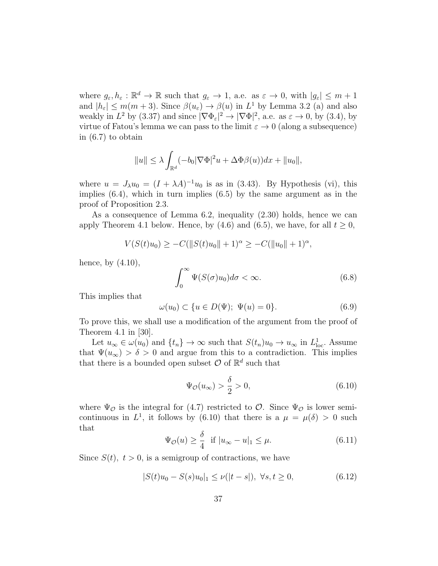where  $g_{\varepsilon}, h_{\varepsilon}: \mathbb{R}^d \to \mathbb{R}$  such that  $g_{\varepsilon} \to 1$ , a.e. as  $\varepsilon \to 0$ , with  $|g_{\varepsilon}| \leq m+1$ and  $|h_{\varepsilon}| \leq m(m+3)$ . Since  $\beta(u_{\varepsilon}) \to \beta(u)$  in  $L^1$  by Lemma 3.2 (a) and also weakly in  $L^2$  by (3.37) and since  $|\nabla \Phi_{\varepsilon}|^2 \to |\nabla \Phi|^2$ , a.e. as  $\varepsilon \to 0$ , by (3.4), by virtue of Fatou's lemma we can pass to the limit  $\varepsilon \to 0$  (along a subsequence) in (6.7) to obtain

$$
||u|| \leq \lambda \int_{\mathbb{R}^d} (-b_0 |\nabla \Phi|^2 u + \Delta \Phi \beta(u)) dx + ||u_0||,
$$

where  $u = J_{\lambda}u_0 = (I + \lambda A)^{-1}u_0$  is as in (3.43). By Hypothesis (vi), this implies  $(6.4)$ , which in turn implies  $(6.5)$  by the same argument as in the proof of Proposition 2.3.

As a consequence of Lemma 6.2, inequality (2.30) holds, hence we can apply Theorem 4.1 below. Hence, by (4.6) and (6.5), we have, for all  $t \geq 0$ ,

$$
V(S(t)u_0) \geq -C(||S(t)u_0|| + 1)^{\alpha} \geq -C(||u_0|| + 1)^{\alpha},
$$

hence, by  $(4.10)$ ,

$$
\int_0^\infty \Psi(S(\sigma)u_0)d\sigma < \infty.
$$
 (6.8)

This implies that

$$
\omega(u_0) \subset \{u \in D(\Psi); \ \Psi(u) = 0\}.
$$
\n
$$
(6.9)
$$

To prove this, we shall use a modification of the argument from the proof of Theorem 4.1 in [30].

Let  $u_{\infty} \in \omega(u_0)$  and  $\{t_n\} \to \infty$  such that  $S(t_n)u_0 \to u_{\infty}$  in  $L^1_{loc}$ . Assume that  $\Psi(u_{\infty}) > \delta > 0$  and argue from this to a contradiction. This implies that there is a bounded open subset  $\mathcal{O}$  of  $\mathbb{R}^d$  such that

$$
\Psi_{\mathcal{O}}(u_{\infty}) > \frac{\delta}{2} > 0,\tag{6.10}
$$

where  $\Psi_{\mathcal{O}}$  is the integral for (4.7) restricted to  $\mathcal{O}$ . Since  $\Psi_{\mathcal{O}}$  is lower semicontinuous in  $L^1$ , it follows by (6.10) that there is a  $\mu = \mu(\delta) > 0$  such that

$$
\Psi_{\mathcal{O}}(u) \ge \frac{\delta}{4} \quad \text{if } |u_{\infty} - u|_1 \le \mu. \tag{6.11}
$$

Since  $S(t)$ ,  $t > 0$ , is a semigroup of contractions, we have

$$
|S(t)u_0 - S(s)u_0|_1 \le \nu(|t - s|), \ \forall s, t \ge 0,
$$
\n(6.12)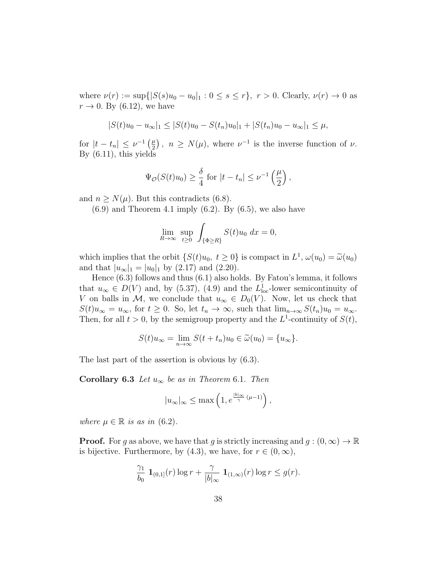where  $\nu(r) := \sup\{|S(s)u_0 - u_0|_1 : 0 \le s \le r\}, r > 0$ . Clearly,  $\nu(r) \to 0$  as  $r \rightarrow 0$ . By (6.12), we have

$$
|S(t)u_0 - u_\infty|_1 \le |S(t)u_0 - S(t_n)u_0|_1 + |S(t_n)u_0 - u_\infty|_1 \le \mu,
$$

for  $|t-t_n| \leq \nu^{-1} \left(\frac{\mu}{2}\right)$  $\left(\frac{\mu}{2}\right), n \geq N(\mu)$ , where  $\nu^{-1}$  is the inverse function of  $\nu$ . By (6.11), this yields

$$
\Psi_{\mathcal{O}}(S(t)u_0) \ge \frac{\delta}{4} \text{ for } |t - t_n| \le \nu^{-1}\left(\frac{\mu}{2}\right),
$$

and  $n \geq N(\mu)$ . But this contradicts (6.8).

 $(6.9)$  and Theorem 4.1 imply  $(6.2)$ . By  $(6.5)$ , we also have

$$
\lim_{R \to \infty} \sup_{t \ge 0} \int_{\{\Phi \ge R\}} S(t) u_0 \, dx = 0,
$$

which implies that the orbit  $\{S(t)u_0, t \ge 0\}$  is compact in  $L^1$ ,  $\omega(u_0) = \tilde{\omega}(u_0)$ <br>and that  $|u_0| = |u_0|$ , by  $(2.32)$ and that  $|u_{\infty}|_1 = |u_0|_1$  by (2.17) and (2.20).

Hence (6.3) follows and thus (6.1) also holds. By Fatou's lemma, it follows that  $u_{\infty} \in D(V)$  and, by (5.37), (4.9) and the  $L_{\text{loc}}^1$ -lower semicontinuity of V on balls in M, we conclude that  $u_{\infty} \in D_0(V)$ . Now, let us check that  $S(t)u_{\infty} = u_{\infty}$ , for  $t \geq 0$ . So, let  $t_n \to \infty$ , such that  $\lim_{n \to \infty} S(t_n)u_0 = u_{\infty}$ . Then, for all  $t > 0$ , by the semigroup property and the  $L^1$ -continuity of  $S(t)$ ,

$$
S(t)u_{\infty} = \lim_{n \to \infty} S(t + t_n)u_0 \in \widetilde{\omega}(u_0) = \{u_{\infty}\}.
$$

The last part of the assertion is obvious by (6.3).

**Corollary 6.3** Let  $u_{\infty}$  be as in Theorem 6.1. Then

$$
|u_\infty|_\infty \le \max\left(1, e^{\frac{|b|_\infty}{\gamma}(\mu-1)}\right),
$$

where  $\mu \in \mathbb{R}$  is as in (6.2).

**Proof.** For g as above, we have that g is strictly increasing and  $g : (0, \infty) \to \mathbb{R}$ is bijective. Furthermore, by (4.3), we have, for  $r \in (0,\infty)$ ,

$$
\frac{\gamma_1}{b_0} \mathbf{1}_{(0,1]}(r) \log r + \frac{\gamma}{|b|_{\infty}} \mathbf{1}_{(1,\infty)}(r) \log r \le g(r).
$$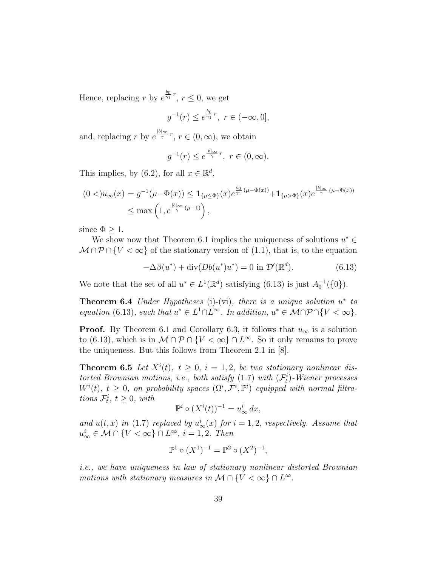Hence, replacing r by  $e^{\frac{b_0}{\gamma_1}r}$ ,  $r \leq 0$ , we get

$$
g^{-1}(r) \le e^{\frac{b_0}{\gamma_1}r}, \ r \in (-\infty, 0],
$$

and, replacing r by  $e^{\frac{|b|_{\infty}}{\gamma}r}$ ,  $r \in (0, \infty)$ , we obtain

$$
g^{-1}(r) \le e^{\frac{|b|_{\infty}}{\gamma}r}, \ r \in (0, \infty).
$$

This implies, by (6.2), for all  $x \in \mathbb{R}^d$ ,

$$
(0 <)u_{\infty}(x) = g^{-1}(\mu - \Phi(x)) \leq \mathbf{1}_{\{\mu \leq \Phi\}}(x)e^{\frac{b_0}{\gamma_1}(\mu - \Phi(x))} + \mathbf{1}_{\{\mu > \Phi\}}(x)e^{\frac{|b|_{\infty}}{\gamma}(\mu - \Phi(x))}
$$
  

$$
\leq \max\left(1, e^{\frac{|b|_{\infty}}{\gamma}(\mu - 1)}\right),
$$

since  $\Phi > 1$ .

We show now that Theorem 6.1 implies the uniqueness of solutions  $u^* \in$  $\mathcal{M} \cap \mathcal{P} \cap \{V < \infty\}$  of the stationary version of (1.1), that is, to the equation

$$
-\Delta\beta(u^*) + \operatorname{div}(Db(u^*)u^*) = 0 \text{ in } \mathcal{D}'(\mathbb{R}^d). \tag{6.13}
$$

We note that the set of all  $u^* \in L^1(\mathbb{R}^d)$  satisfying  $(6.13)$  is just  $A_0^{-1}(\{0\})$ .

**Theorem 6.4** Under Hypotheses (i)-(vi), there is a unique solution  $u^*$  to equation (6.13), such that  $u^* \in L^1 \cap L^\infty$ . In addition,  $u^* \in \mathcal{M} \cap \mathcal{P} \cap \{V < \infty\}$ .

**Proof.** By Theorem 6.1 and Corollary 6.3, it follows that  $u_{\infty}$  is a solution to (6.13), which is in  $M \cap \mathcal{P} \cap \{V < \infty\} \cap L^{\infty}$ . So it only remains to prove the uniqueness. But this follows from Theorem 2.1 in [8].

**Theorem 6.5** Let  $X^{i}(t)$ ,  $t \geq 0$ ,  $i = 1, 2$ , be two stationary nonlinear distorted Brownian motions, i.e., both satisfy  $(1.7)$  with  $(\mathcal{F}_t^i)$ -Wiener processes  $W^{i}(t), t \geq 0$ , on probability spaces  $(\Omega^{i}, \mathcal{F}^{i}, \mathbb{P}^{i})$  equipped with normal filtrations  $\mathcal{F}_t^i$ ,  $t \geq 0$ , with

$$
\mathbb{P}^i \circ (X^i(t))^{-1} = u^i_{\infty} dx,
$$

and  $u(t, x)$  in (1.7) replaced by  $u^i_{\infty}(x)$  for  $i = 1, 2$ , respectively. Assume that  $u_{\infty}^{i} \in \mathcal{M} \cap \{V < \infty\} \cap L^{\infty}, i = 1, 2$ . Then

$$
\mathbb{P}^1 \circ (X^1)^{-1} = \mathbb{P}^2 \circ (X^2)^{-1},
$$

i.e., we have uniqueness in law of stationary nonlinear distorted Brownian motions with stationary measures in  $\mathcal{M} \cap \{V < \infty\} \cap L^{\infty}$ .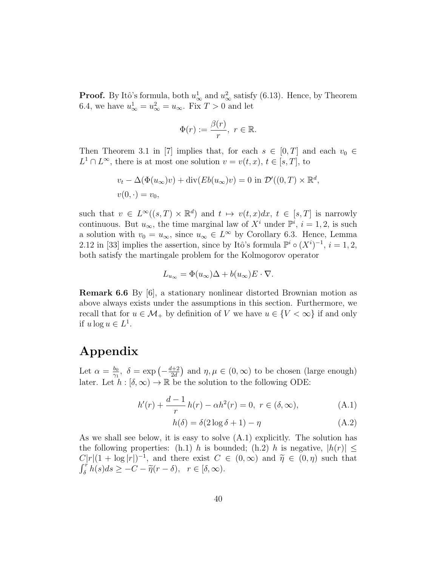**Proof.** By Itô's formula, both  $u_{\infty}^1$  and  $u_{\infty}^2$  satisfy (6.13). Hence, by Theorem 6.4, we have  $u_{\infty}^1 = u_{\infty}^2 = u_{\infty}$ . Fix  $T > 0$  and let

$$
\Phi(r) := \frac{\beta(r)}{r}, \ r \in \mathbb{R}.
$$

Then Theorem 3.1 in [7] implies that, for each  $s \in [0, T]$  and each  $v_0 \in$  $L^1 \cap L^{\infty}$ , there is at most one solution  $v = v(t, x), t \in [s, T]$ , to

$$
v_t - \Delta(\Phi(u_\infty)v) + \text{div}(Eb(u_\infty)v) = 0 \text{ in } \mathcal{D}'((0,T) \times \mathbb{R}^d,
$$
  

$$
v(0,\cdot) = v_0,
$$

such that  $v \in L^{\infty}((s,T) \times \mathbb{R}^d)$  and  $t \mapsto v(t,x)dx$ ,  $t \in [s,T]$  is narrowly continuous. But  $u_{\infty}$ , the time marginal law of  $X^i$  under  $\mathbb{P}^i$ ,  $i = 1, 2$ , is such a solution with  $v_0 = u_{\infty}$ , since  $u_{\infty} \in L^{\infty}$  by Corollary 6.3. Hence, Lemma 2.12 in [33] implies the assertion, since by Itô's formula  $\mathbb{P}^i \circ (X^i)^{-1}$ ,  $i = 1, 2$ , both satisfy the martingale problem for the Kolmogorov operator

$$
L_{u_{\infty}} = \Phi(u_{\infty})\Delta + b(u_{\infty})E \cdot \nabla.
$$

Remark 6.6 By [6], a stationary nonlinear distorted Brownian motion as above always exists under the assumptions in this section. Furthermore, we recall that for  $u \in M_+$  by definition of V we have  $u \in \{V < \infty\}$  if and only if  $u \log u \in L^1$ .

### Appendix

Let  $\alpha = \frac{b_0}{\alpha}$  $\frac{b_0}{\gamma_1}, \delta = \exp\left(-\frac{d+2}{2d}\right)$  $\left(\frac{l+2}{2d}\right)$  and  $\eta, \mu \in (0, \infty)$  to be chosen (large enough) later. Let  $h : [\delta, \infty) \to \mathbb{R}$  be the solution to the following ODE:

$$
h'(r) + \frac{d-1}{r}h(r) - \alpha h^2(r) = 0, \ r \in (\delta, \infty), \tag{A.1}
$$

$$
h(\delta) = \delta(2\log\delta + 1) - \eta \tag{A.2}
$$

As we shall see below, it is easy to solve (A.1) explicitly. The solution has the following properties: (h.1) h is bounded; (h.2) h is negative,  $|h(r)| \leq$  $C|r|(1 + \log |r|)^{-1}$ , and there exist  $C \in (0, \infty)$  and  $\tilde{\eta} \in (0, \eta)$  such that  $\int_{\delta}^{r} h(s)ds \geq -C - \widetilde{\eta}(r-\delta), \ \ r \in [\delta,\infty).$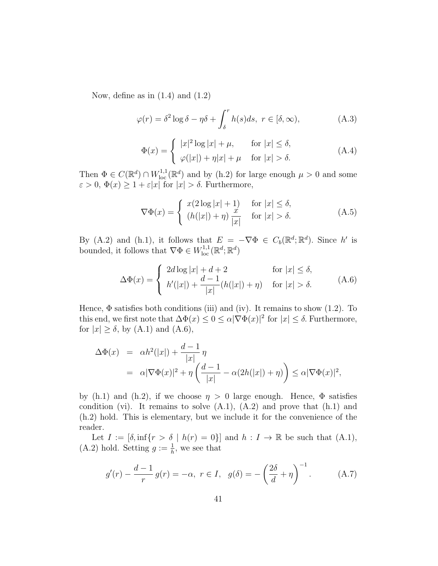Now, define as in  $(1.4)$  and  $(1.2)$ 

$$
\varphi(r) = \delta^2 \log \delta - \eta \delta + \int_{\delta}^{r} h(s) ds, \ r \in [\delta, \infty), \tag{A.3}
$$

$$
\Phi(x) = \begin{cases} |x|^2 \log |x| + \mu, & \text{for } |x| \le \delta, \\ \varphi(|x|) + \eta |x| + \mu & \text{for } |x| > \delta. \end{cases}
$$
\n(A.4)

Then  $\Phi \in C(\mathbb{R}^d) \cap W^{1,1}_{loc}(\mathbb{R}^d)$  and by (h.2) for large enough  $\mu > 0$  and some  $\varepsilon > 0, \, \Phi(x) \geq 1 + \varepsilon |x|$  for  $|x| > \delta$ . Furthermore,

$$
\nabla \Phi(x) = \begin{cases} x(2\log|x|+1) & \text{for } |x| \le \delta, \\ (h(|x|) + \eta) \frac{x}{|x|} & \text{for } |x| > \delta. \end{cases}
$$
 (A.5)

By (A.2) and (h.1), it follows that  $E = -\nabla \Phi \in C_b(\mathbb{R}^d; \mathbb{R}^d)$ . Since h' is bounded, it follows that  $\nabla \Phi \in W^{1,1}_{loc}(\mathbb{R}^d; \mathbb{R}^d)$ 

$$
\Delta\Phi(x) = \begin{cases} 2d\log|x| + d + 2 & \text{for } |x| \le \delta, \\ h'(|x|) + \frac{d-1}{|x|}(h(|x|) + \eta) & \text{for } |x| > \delta. \end{cases} \tag{A.6}
$$

Hence,  $\Phi$  satisfies both conditions (iii) and (iv). It remains to show (1.2). To this end, we first note that  $\Delta \Phi(x) \leq 0 \leq \alpha |\nabla \Phi(x)|^2$  for  $|x| \leq \delta$ . Furthermore, for  $|x| \ge \delta$ , by (A.1) and (A.6),

$$
\Delta \Phi(x) = \alpha h^2(|x|) + \frac{d-1}{|x|} \eta
$$
  
=  $\alpha |\nabla \Phi(x)|^2 + \eta \left(\frac{d-1}{|x|} - \alpha (2h(|x|) + \eta)\right) \le \alpha |\nabla \Phi(x)|^2,$ 

by (h.1) and (h.2), if we choose  $\eta > 0$  large enough. Hence,  $\Phi$  satisfies condition (vi). It remains to solve  $(A.1)$ ,  $(A.2)$  and prove that  $(h.1)$  and (h.2) hold. This is elementary, but we include it for the convenience of the reader.

Let  $I := [\delta, \inf\{r > \delta \mid h(r) = 0\}]$  and  $h : I \to \mathbb{R}$  be such that  $(A.1)$ , (A.2) hold. Setting  $g := \frac{1}{h}$ , we see that

$$
g'(r) - \frac{d-1}{r} g(r) = -\alpha, \ r \in I, \ g(\delta) = -\left(\frac{2\delta}{d} + \eta\right)^{-1}.
$$
 (A.7)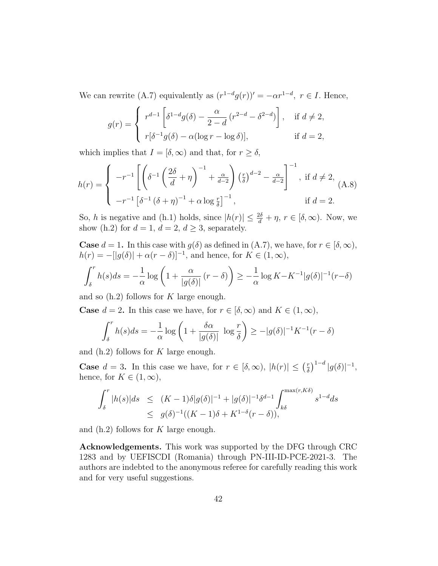We can rewrite (A.7) equivalently as  $(r^{1-d}g(r))' = -\alpha r^{1-d}, r \in I$ . Hence,

$$
g(r) = \begin{cases} r^{d-1} \left[ \delta^{1-d} g(\delta) - \frac{\alpha}{2-d} \left( r^{2-d} - \delta^{2-d} \right) \right], & \text{if } d \neq 2, \\ r[\delta^{-1} g(\delta) - \alpha (\log r - \log \delta)], & \text{if } d = 2, \end{cases}
$$

which implies that  $I = [\delta, \infty)$  and that, for  $r \geq \delta$ ,

$$
h(r) = \begin{cases} -r^{-1} \left[ \left( \delta^{-1} \left( \frac{2\delta}{d} + \eta \right)^{-1} + \frac{\alpha}{d-2} \right) \left( \frac{r}{\delta} \right)^{d-2} - \frac{\alpha}{d-2} \right]^{-1}, & \text{if } d \neq 2, \\ -r^{-1} \left[ \delta^{-1} \left( \delta + \eta \right)^{-1} + \alpha \log \frac{r}{\delta} \right]^{-1}, & \text{if } d = 2. \end{cases}
$$

So, h is negative and (h.1) holds, since  $|h(r)| \leq \frac{2\delta}{d} + \eta$ ,  $r \in [\delta, \infty)$ . Now, we show (h.2) for  $d = 1$ ,  $d = 2$ ,  $d > 3$ , separately.

**Case**  $d = 1$ . In this case with  $g(\delta)$  as defined in  $(A.7)$ , we have, for  $r \in [\delta, \infty)$ ,  $h(r) = -[|g(\delta)| + \alpha(r - \delta)]^{-1}$ , and hence, for  $K \in (1, \infty)$ ,

$$
\int_{\delta}^{r} h(s)ds = -\frac{1}{\alpha} \log \left( 1 + \frac{\alpha}{|g(\delta)|} (r - \delta) \right) \ge -\frac{1}{\alpha} \log K - K^{-1}|g(\delta)|^{-1}(r - \delta)
$$

and so  $(h.2)$  follows for K large enough.

**Case**  $d = 2$ . In this case we have, for  $r \in [\delta, \infty)$  and  $K \in (1, \infty)$ ,

$$
\int_{\delta}^{r} h(s)ds = -\frac{1}{\alpha} \log \left( 1 + \frac{\delta \alpha}{|g(\delta)|} \log \frac{r}{\delta} \right) \ge -|g(\delta)|^{-1} K^{-1}(r - \delta)
$$

and  $(h.2)$  follows for K large enough.

**Case**  $d = 3$ . In this case we have, for  $r \in [\delta, \infty)$ ,  $|h(r)| \leq (\frac{r}{\delta})$  $\frac{r}{\delta}\Big)^{1-d} |g(\delta)|^{-1},$ hence, for  $K \in (1,\infty)$ ,

$$
\int_{\delta}^{r} |h(s)|ds \le (K-1)\delta|g(\delta)|^{-1} + |g(\delta)|^{-1}\delta^{d-1} \int_{k\delta}^{\max(r,K\delta)} s^{1-d}ds
$$
  

$$
\le g(\delta)^{-1}((K-1)\delta + K^{1-\delta}(r-\delta)),
$$

and  $(h.2)$  follows for K large enough.

Acknowledgements. This work was supported by the DFG through CRC 1283 and by UEFISCDI (Romania) through PN-III-ID-PCE-2021-3. The authors are indebted to the anonymous referee for carefully reading this work and for very useful suggestions.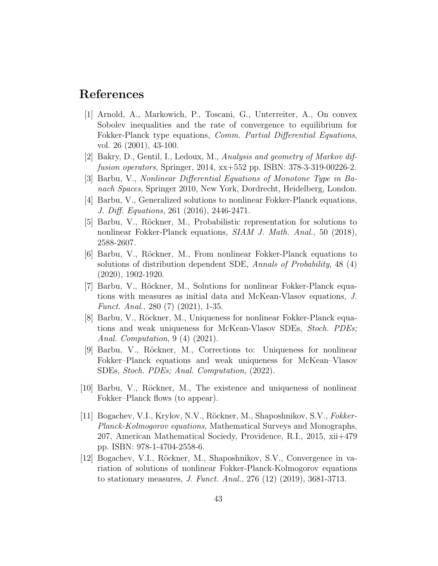#### References

- [1] Arnold, A., Markowich, P., Toscani, G., Unterreiter, A., On convex Sobolev inequalities and the rate of convergence to equilibrium for Fokker-Planck type equations, *Comm. Partial Differential Equations*, vol. 26 (2001), 43-100.
- [2] Bakry, D., Gentil, I., Ledoux, M., Analysis and geometry of Markov diffusion operators, Springer, 2014, xx+552 pp. ISBN: 378-3-319-00226-2.
- [3] Barbu, V., Nonlinear Differential Equations of Monotone Type in Banach Spaces, Springer 2010, New York, Dordrecht, Heidelberg, London.
- [4] Barbu, V., Generalized solutions to nonlinear Fokker-Planck equations, J. Diff. Equations, 261 (2016), 2446-2471.
- [5] Barbu, V., Röckner, M., Probabilistic representation for solutions to nonlinear Fokker-Planck equations, SIAM J. Math. Anal., 50 (2018), 2588-2607.
- [6] Barbu, V., R¨ockner, M., From nonlinear Fokker-Planck equations to solutions of distribution dependent SDE, Annals of Probability, 48 (4) (2020), 1902-1920.
- [7] Barbu, V., Röckner, M., Solutions for nonlinear Fokker-Planck equations with measures as initial data and McKean-Vlasov equations, J. Funct. Anal., 280 (7) (2021), 1-35.
- [8] Barbu, V., Röckner, M., Uniqueness for nonlinear Fokker-Planck equations and weak uniqueness for McKean-Vlasov SDEs, Stoch. PDEs; Anal. Computation, 9 (4) (2021).
- [9] Barbu, V., Röckner, M., Corrections to: Uniqueness for nonlinear Fokker–Planck equations and weak uniqueness for McKean–Vlasov SDEs, Stoch. PDEs; Anal. Computation, (2022).
- [10] Barbu, V., Röckner, M., The existence and uniqueness of nonlinear Fokker–Planck flows (to appear).
- [11] Bogachev, V.I., Krylov, N.V., Röckner, M., Shaposhnikov, S.V., Fokker-Planck-Kolmogorov equations, Mathematical Surveys and Monographs, 207, American Mathematical Sociedy, Providence, R.I., 2015, xii+479 pp. ISBN: 978-1-4704-2558-6.
- [12] Bogachev, V.I., Röckner, M., Shaposhnikov, S.V., Convergence in variation of solutions of nonlinear Fokker-Planck-Kolmogorov equations to stationary measures, J. Funct. Anal., 276 (12) (2019), 3681-3713.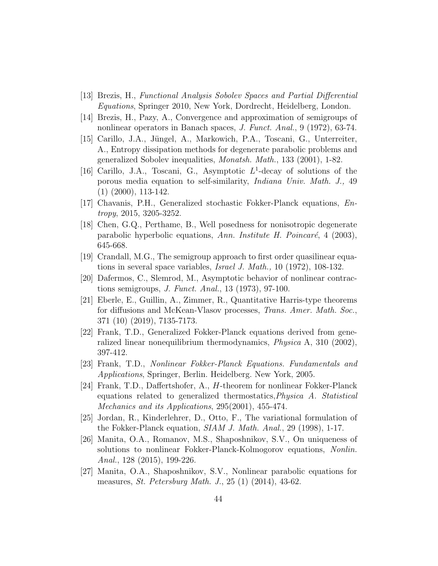- [13] Brezis, H., Functional Analysis Sobolev Spaces and Partial Differential Equations, Springer 2010, New York, Dordrecht, Heidelberg, London.
- [14] Brezis, H., Pazy, A., Convergence and approximation of semigroups of nonlinear operators in Banach spaces, J. Funct. Anal., 9 (1972), 63-74.
- [15] Carillo, J.A., Jüngel, A., Markowich, P.A., Toscani, G., Unterreiter, A., Entropy dissipation methods for degenerate parabolic problems and generalized Sobolev inequalities, Monatsh. Math., 133 (2001), 1-82.
- [16] Carillo, J.A., Toscani, G., Asymptotic  $L^1$ -decay of solutions of the porous media equation to self-similarity, Indiana Univ. Math. J., 49 (1) (2000), 113-142.
- [17] Chavanis, P.H., Generalized stochastic Fokker-Planck equations, Entropy, 2015, 3205-3252.
- [18] Chen, G.Q., Perthame, B., Well posedness for nonisotropic degenerate parabolic hyperbolic equations, Ann. Institute H. Poincaré, 4 (2003), 645-668.
- [19] Crandall, M.G., The semigroup approach to first order quasilinear equations in several space variables, Israel J. Math., 10 (1972), 108-132.
- [20] Dafermos, C., Slemrod, M., Asymptotic behavior of nonlinear contractions semigroups, J. Funct. Anal., 13 (1973), 97-100.
- [21] Eberle, E., Guillin, A., Zimmer, R., Quantitative Harris-type theorems for diffusions and McKean-Vlasov processes, Trans. Amer. Math. Soc., 371 (10) (2019), 7135-7173.
- [22] Frank, T.D., Generalized Fokker-Planck equations derived from generalized linear nonequilibrium thermodynamics, Physica A, 310 (2002), 397-412.
- [23] Frank, T.D., Nonlinear Fokker-Planck Equations. Fundamentals and Applications, Springer, Berlin. Heidelberg. New York, 2005.
- [24] Frank, T.D., Daffertshofer, A., H-theorem for nonlinear Fokker-Planck equations related to generalized thermostatics,Physica A. Statistical Mechanics and its Applications, 295(2001), 455-474.
- [25] Jordan, R., Kinderlehrer, D., Otto, F., The variational formulation of the Fokker-Planck equation, SIAM J. Math. Anal., 29 (1998), 1-17.
- [26] Manita, O.A., Romanov, M.S., Shaposhnikov, S.V., On uniqueness of solutions to nonlinear Fokker-Planck-Kolmogorov equations, Nonlin. Anal., 128 (2015), 199-226.
- [27] Manita, O.A., Shaposhnikov, S.V., Nonlinear parabolic equations for measures, St. Petersburg Math. J., 25 (1) (2014), 43-62.